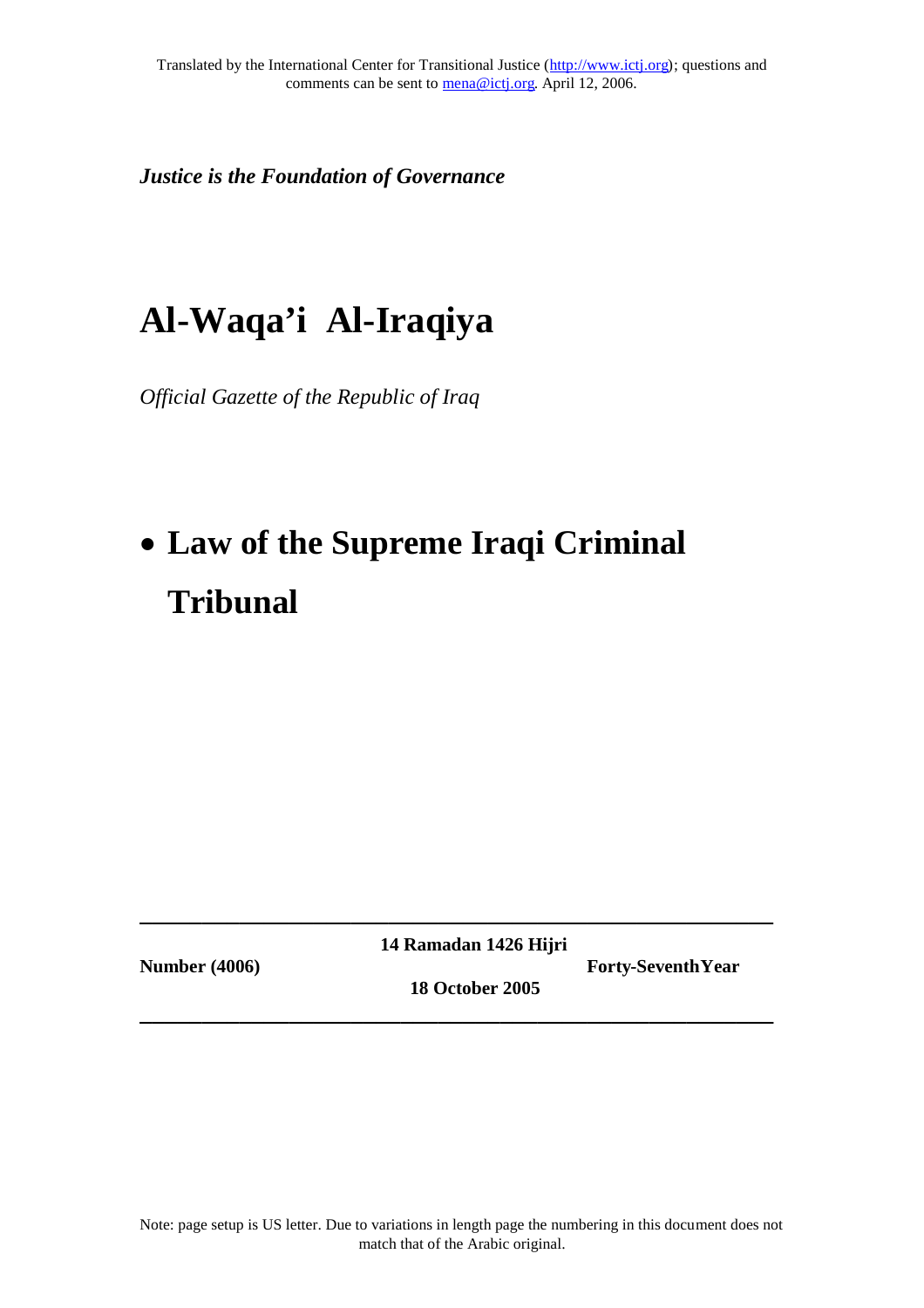*Justice is the Foundation of Governance*

# **Al-Waqa'i Al-Iraqiya**

*Official Gazette of the Republic of Iraq*

# **Law of the Supreme Iraqi Criminal Tribunal**

**Number (4006) Forty-SeventhYear 14 Ramadan 1426 Hijri**

**\_\_\_\_\_\_\_\_\_\_\_\_\_\_\_\_\_\_\_\_\_\_\_\_\_\_\_\_\_\_\_\_\_\_\_\_\_\_\_\_\_\_\_\_\_\_\_\_\_\_\_**

**\_\_\_\_\_\_\_\_\_\_\_\_\_\_\_\_\_\_\_\_\_\_\_\_\_\_\_\_\_\_\_\_\_\_\_\_\_\_\_\_\_\_\_\_\_\_\_\_\_\_\_ 18 October 2005**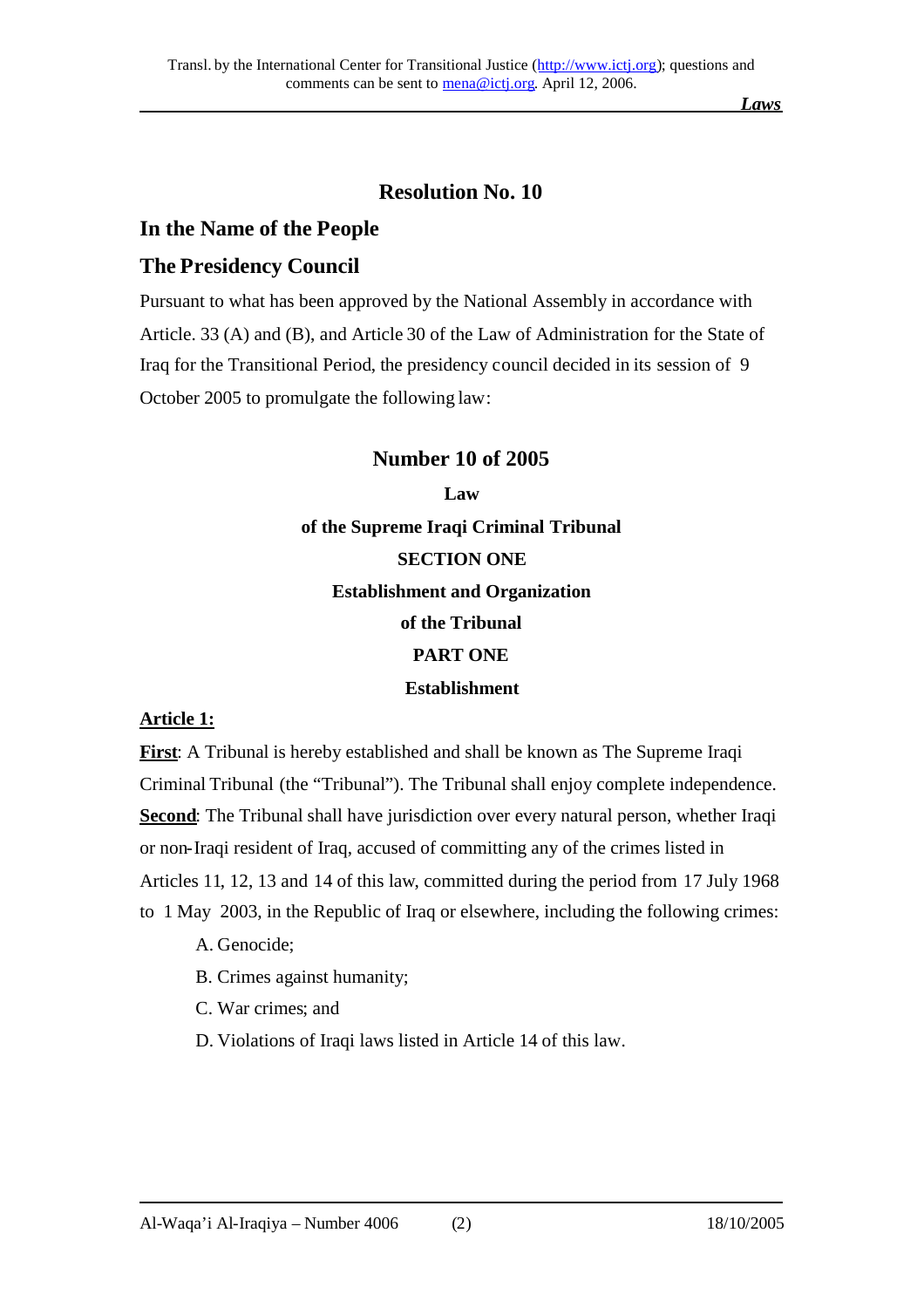# **Resolution No. 10**

## **In the Name of the People**

## **The Presidency Council**

Pursuant to what has been approved by the National Assembly in accordance with Article. 33 (A) and (B), and Article 30 of the Law of Administration for the State of Iraq for the Transitional Period, the presidency council decided in its session of 9 October 2005 to promulgate the following law:

# **Number 10 of 2005 Law of the Supreme Iraqi Criminal Tribunal SECTION ONE Establishment and Organization of the Tribunal PART ONE Establishment**

#### **Article 1:**

**First**: A Tribunal is hereby established and shall be known as The Supreme Iraqi Criminal Tribunal (the "Tribunal"). The Tribunal shall enjoy complete independence. **Second:** The Tribunal shall have jurisdiction over every natural person, whether Iraqi or non-Iraqi resident of Iraq, accused of committing any of the crimes listed in Articles 11, 12, 13 and 14 of this law, committed during the period from 17 July 1968 to 1 May 2003, in the Republic of Iraq or elsewhere, including the following crimes:

- A. Genocide;
- B. Crimes against humanity;
- C. War crimes; and
- D. Violations of Iraqi laws listed in Article 14 of this law.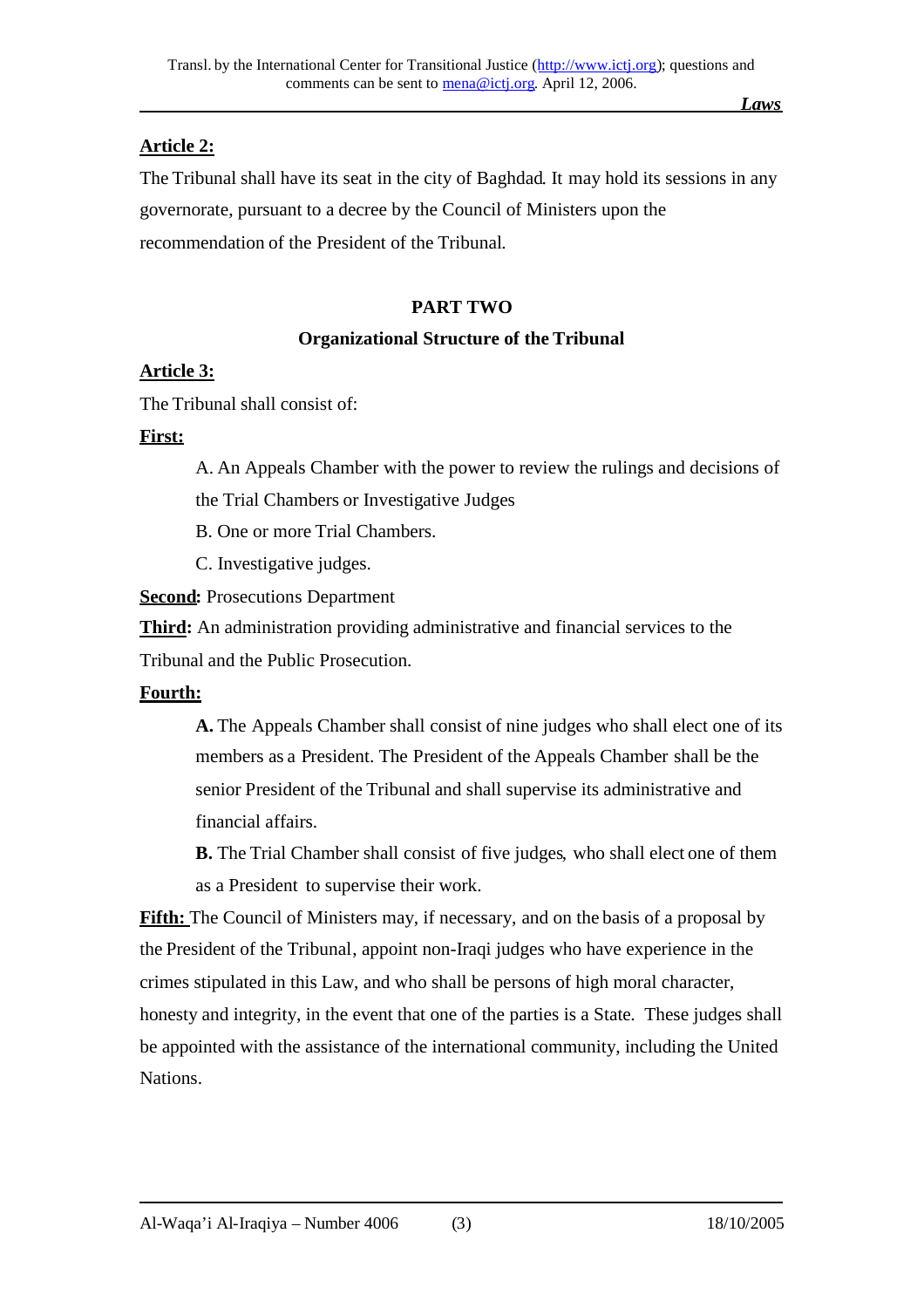## **Article 2:**

The Tribunal shall have its seat in the city of Baghdad. It may hold its sessions in any governorate, pursuant to a decree by the Council of Ministers upon the recommendation of the President of the Tribunal.

## **PART TWO**

#### **Organizational Structure of the Tribunal**

#### **Article 3:**

The Tribunal shall consist of:

#### **First:**

A. An Appeals Chamber with the power to review the rulings and decisions of the Trial Chambers or Investigative Judges

B. One or more Trial Chambers.

C. Investigative judges.

**Second:** Prosecutions Department

**Third:** An administration providing administrative and financial services to the Tribunal and the Public Prosecution.

#### **Fourth:**

**A.** The Appeals Chamber shall consist of nine judges who shall elect one of its members as a President. The President of the Appeals Chamber shall be the senior President of the Tribunal and shall supervise its administrative and financial affairs.

**B.** The Trial Chamber shall consist of five judges, who shall elect one of them as a President to supervise their work.

**Fifth:** The Council of Ministers may, if necessary, and on the basis of a proposal by the President of the Tribunal, appoint non-Iraqi judges who have experience in the crimes stipulated in this Law, and who shall be persons of high moral character, honesty and integrity, in the event that one of the parties is a State. These judges shall be appointed with the assistance of the international community, including the United Nations.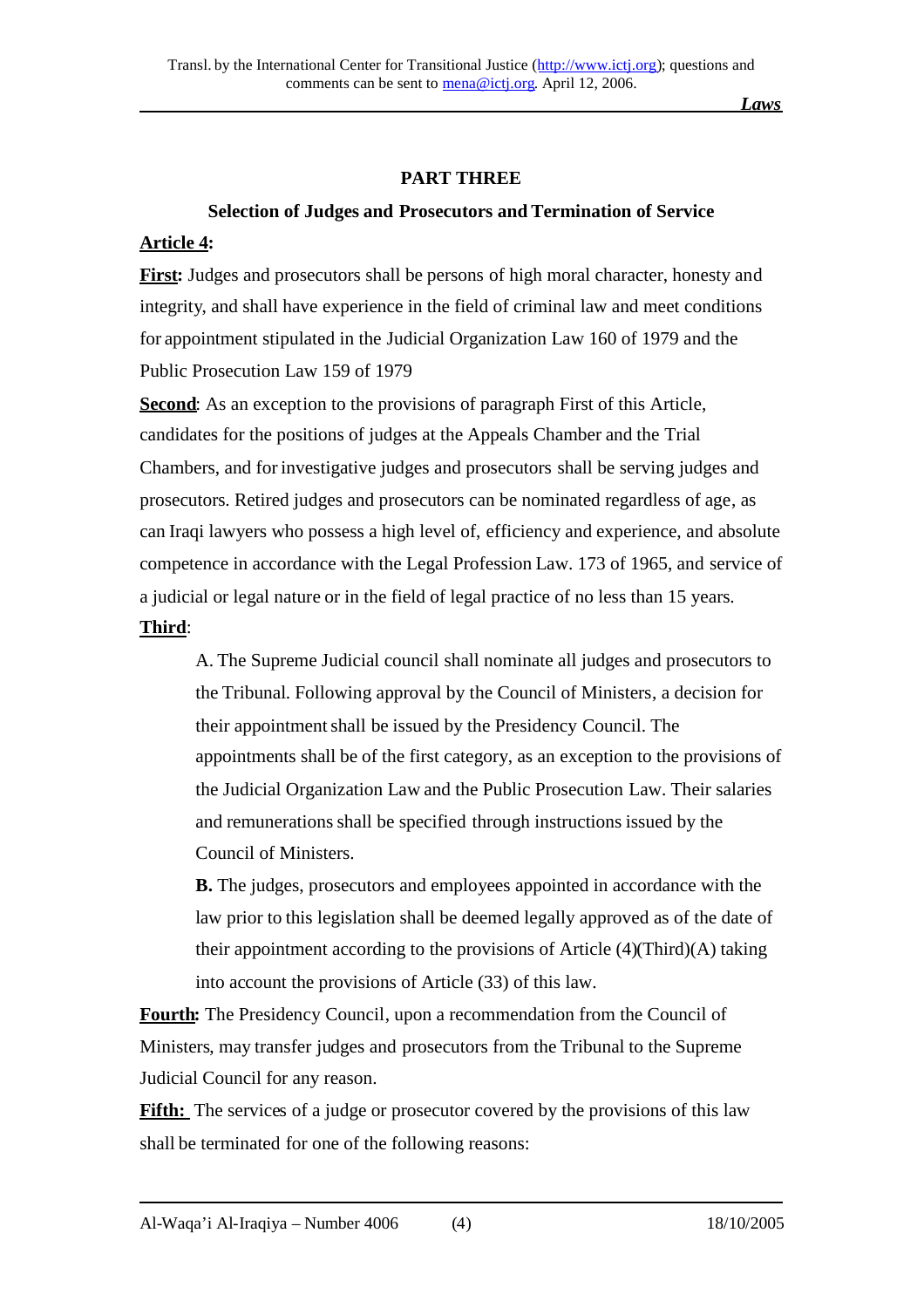#### **PART THREE**

# **Selection of Judges and Prosecutors and Termination of Service Article 4:**

**First:** Judges and prosecutors shall be persons of high moral character, honesty and integrity, and shall have experience in the field of criminal law and meet conditions for appointment stipulated in the Judicial Organization Law 160 of 1979 and the Public Prosecution Law 159 of 1979

**Second**: As an exception to the provisions of paragraph First of this Article, candidates for the positions of judges at the Appeals Chamber and the Trial Chambers, and for investigative judges and prosecutors shall be serving judges and prosecutors. Retired judges and prosecutors can be nominated regardless of age, as can Iraqi lawyers who possess a high level of, efficiency and experience, and absolute competence in accordance with the Legal Profession Law. 173 of 1965, and service of a judicial or legal nature or in the field of legal practice of no less than 15 years. **Third**:

A. The Supreme Judicial council shall nominate all judges and prosecutors to the Tribunal. Following approval by the Council of Ministers, a decision for their appointmentshall be issued by the Presidency Council. The appointments shall be of the first category, as an exception to the provisions of the Judicial Organization Law and the Public Prosecution Law. Their salaries and remunerations shall be specified through instructions issued by the Council of Ministers.

**B.** The judges, prosecutors and employees appointed in accordance with the law prior to this legislation shall be deemed legally approved as of the date of their appointment according to the provisions of Article (4)(Third)(A) taking into account the provisions of Article (33) of this law.

**Fourth:** The Presidency Council, upon a recommendation from the Council of Ministers, may transfer judges and prosecutors from the Tribunal to the Supreme Judicial Council for any reason.

**Fifth:** The services of a judge or prosecutor covered by the provisions of this law shall be terminated for one of the following reasons: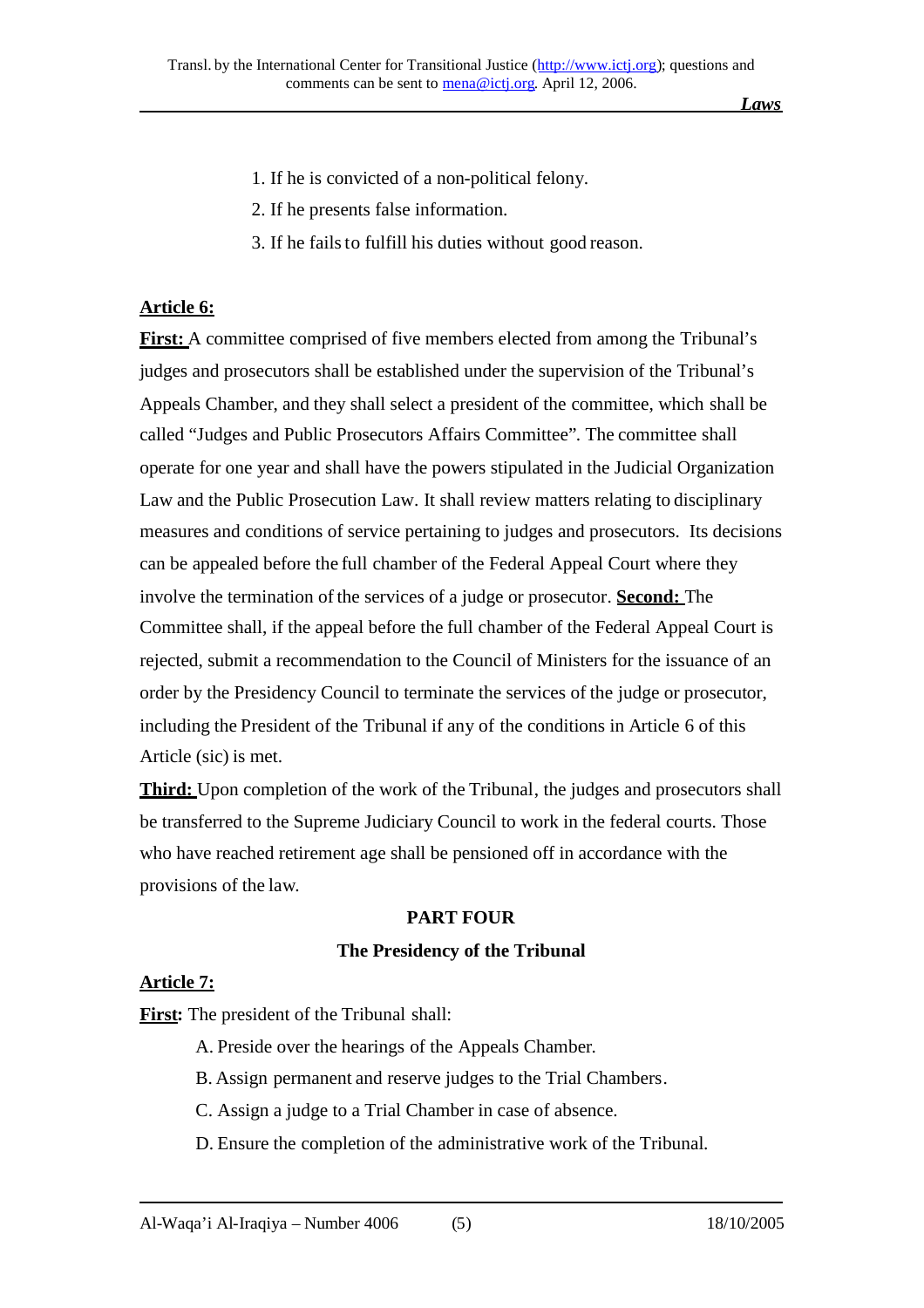- 1. If he is convicted of a non-political felony.
- 2. If he presents false information.
- 3. If he failsto fulfill his duties without good reason.

#### **Article 6:**

First: A committee comprised of five members elected from among the Tribunal's judges and prosecutors shall be established under the supervision of the Tribunal's Appeals Chamber, and they shall select a president of the committee, which shall be called "Judges and Public Prosecutors Affairs Committee". The committee shall operate for one year and shall have the powers stipulated in the Judicial Organization Law and the Public Prosecution Law. It shall review matters relating to disciplinary measures and conditions of service pertaining to judges and prosecutors. Its decisions can be appealed before the full chamber of the Federal Appeal Court where they involve the termination of the services of a judge or prosecutor. **Second:** The Committee shall, if the appeal before the full chamber of the Federal Appeal Court is rejected, submit a recommendation to the Council of Ministers for the issuance of an order by the Presidency Council to terminate the services of the judge or prosecutor, including the President of the Tribunal if any of the conditions in Article 6 of this Article (sic) is met.

**Third:** Upon completion of the work of the Tribunal, the judges and prosecutors shall be transferred to the Supreme Judiciary Council to work in the federal courts. Those who have reached retirement age shall be pensioned off in accordance with the provisions of the law.

#### **PART FOUR**

#### **The Presidency of the Tribunal**

#### **Article 7:**

**First:** The president of the Tribunal shall:

- A. Preside over the hearings of the Appeals Chamber.
- B. Assign permanent and reserve judges to the Trial Chambers.
- C. Assign a judge to a Trial Chamber in case of absence.
- D. Ensure the completion of the administrative work of the Tribunal.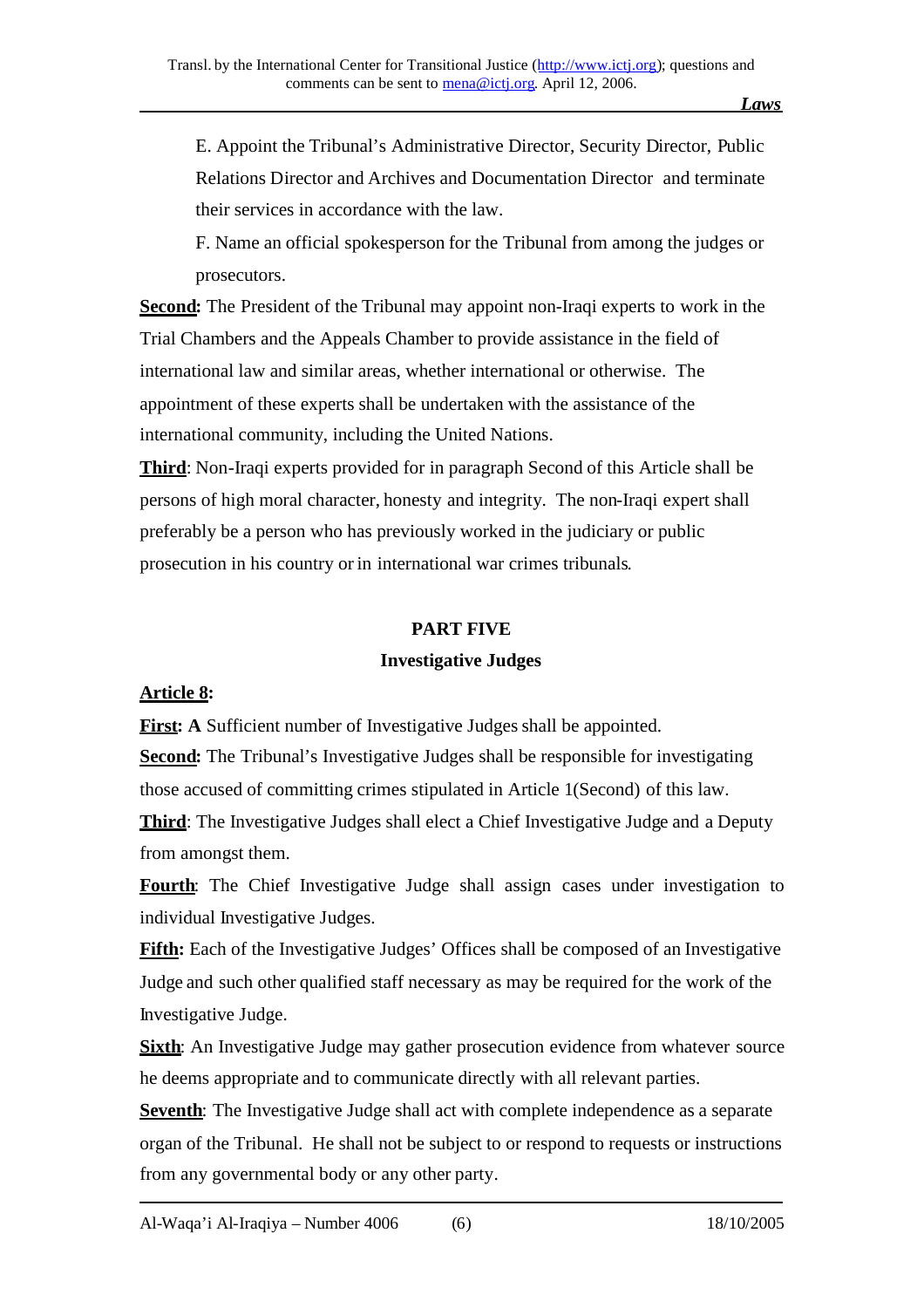E. Appoint the Tribunal's Administrative Director, Security Director, Public Relations Director and Archives and Documentation Director and terminate their services in accordance with the law.

F. Name an official spokesperson for the Tribunal from among the judges or prosecutors.

**Second:** The President of the Tribunal may appoint non-Iraqi experts to work in the Trial Chambers and the Appeals Chamber to provide assistance in the field of international law and similar areas, whether international or otherwise. The appointment of these experts shall be undertaken with the assistance of the international community, including the United Nations.

**Third**: Non-Iraqi experts provided for in paragraph Second of this Article shall be persons of high moral character, honesty and integrity. The non-Iraqi expert shall preferably be a person who has previously worked in the judiciary or public prosecution in his country or in international war crimes tribunals.

#### **PART FIVE**

#### **Investigative Judges**

#### **Article 8:**

**First:** A Sufficient number of Investigative Judges shall be appointed.

**Second:** The Tribunal's Investigative Judges shall be responsible for investigating those accused of committing crimes stipulated in Article 1(Second) of this law.

**Third**: The Investigative Judges shall elect a Chief Investigative Judge and a Deputy from amongst them.

**Fourth**: The Chief Investigative Judge shall assign cases under investigation to individual Investigative Judges.

**Fifth:** Each of the Investigative Judges' Offices shall be composed of an Investigative Judge and such other qualified staff necessary as may be required for the work of the Investigative Judge.

**Sixth:** An Investigative Judge may gather prosecution evidence from whatever source he deems appropriate and to communicate directly with all relevant parties.

**Seventh:** The Investigative Judge shall act with complete independence as a separate organ of the Tribunal. He shall not be subject to or respond to requests or instructions from any governmental body or any other party.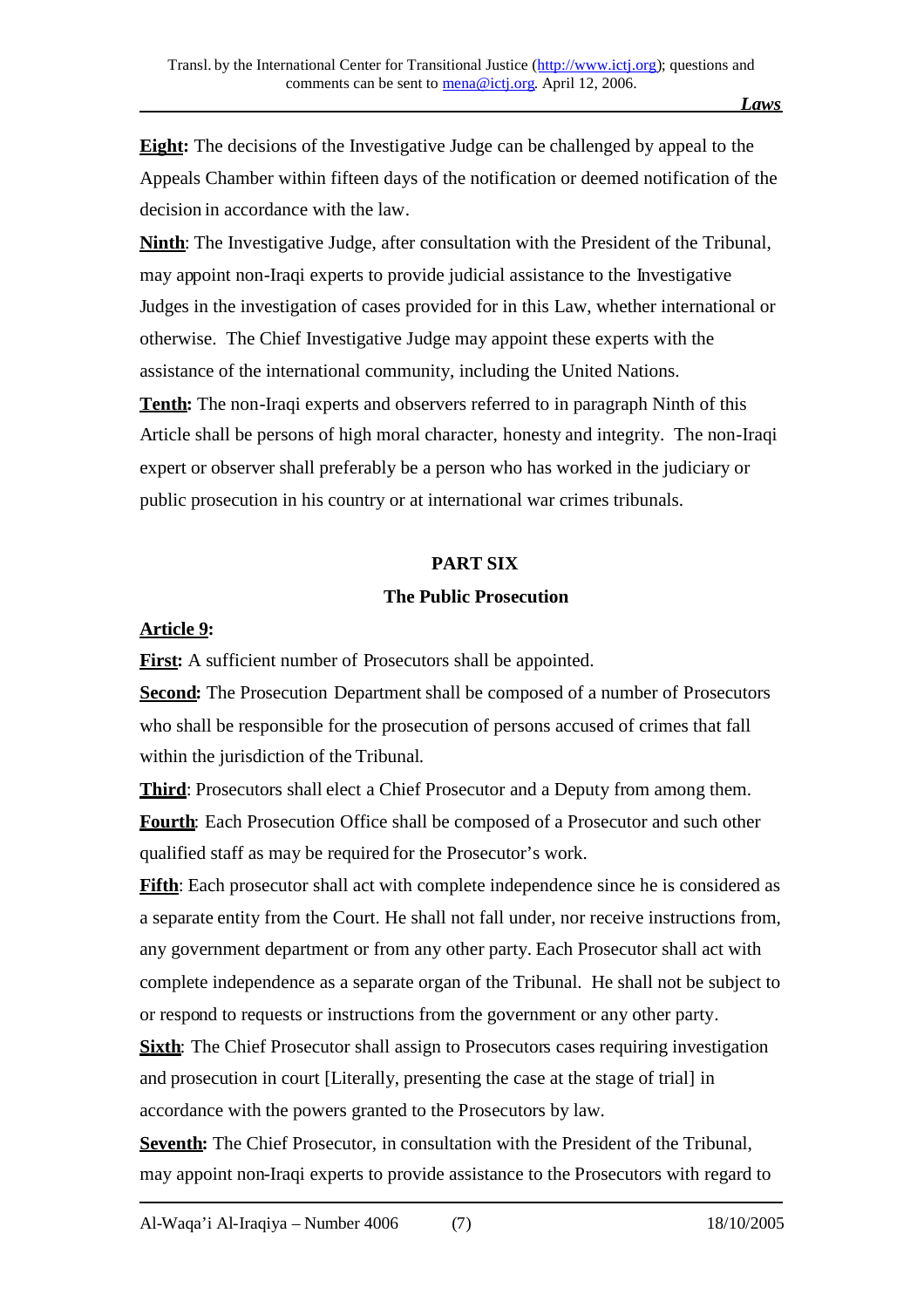**Eight:** The decisions of the Investigative Judge can be challenged by appeal to the Appeals Chamber within fifteen days of the notification or deemed notification of the decision in accordance with the law.

**Ninth**: The Investigative Judge, after consultation with the President of the Tribunal, may appoint non-Iraqi experts to provide judicial assistance to the Investigative Judges in the investigation of cases provided for in this Law, whether international or otherwise. The Chief Investigative Judge may appoint these experts with the assistance of the international community, including the United Nations.

**Tenth:** The non-Iraqi experts and observers referred to in paragraph Ninth of this Article shall be persons of high moral character, honesty and integrity. The non-Iraqi expert or observer shall preferably be a person who has worked in the judiciary or public prosecution in his country or at international war crimes tribunals.

#### **PART SIX**

#### **The Public Prosecution**

#### **Article 9:**

**First:** A sufficient number of Prosecutors shall be appointed.

**Second:** The Prosecution Department shall be composed of a number of Prosecutors who shall be responsible for the prosecution of persons accused of crimes that fall within the jurisdiction of the Tribunal.

**Third**: Prosecutors shall elect a Chief Prosecutor and a Deputy from among them. **Fourth**: Each Prosecution Office shall be composed of a Prosecutor and such other qualified staff as may be required for the Prosecutor's work.

**Fifth**: Each prosecutor shall act with complete independence since he is considered as a separate entity from the Court. He shall not fall under, nor receive instructions from, any government department or from any other party. Each Prosecutor shall act with complete independence as a separate organ of the Tribunal. He shall not be subject to or respond to requests or instructions from the government or any other party.

**Sixth:** The Chief Prosecutor shall assign to Prosecutors cases requiring investigation and prosecution in court [Literally, presenting the case at the stage of trial] in accordance with the powers granted to the Prosecutors by law.

**Seventh:** The Chief Prosecutor, in consultation with the President of the Tribunal, may appoint non-Iraqi experts to provide assistance to the Prosecutors with regard to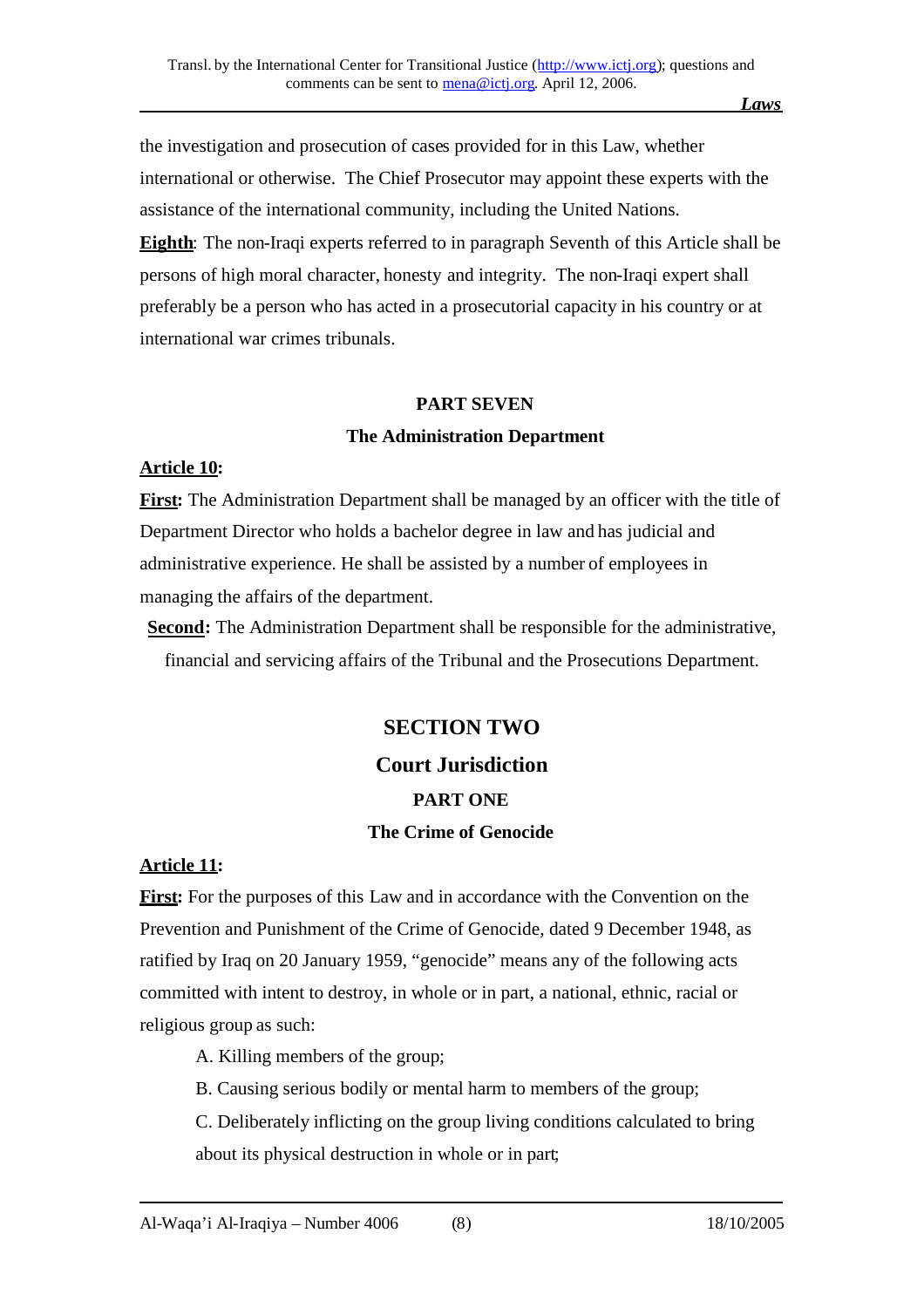the investigation and prosecution of cases provided for in this Law, whether international or otherwise. The Chief Prosecutor may appoint these experts with the assistance of the international community, including the United Nations. **Eighth**: The non-Iraqi experts referred to in paragraph Seventh of this Article shall be persons of high moral character, honesty and integrity. The non-Iraqi expert shall preferably be a person who has acted in a prosecutorial capacity in his country or at international war crimes tribunals.

#### **PART SEVEN**

#### **The Administration Department**

#### **Article 10:**

**First:** The Administration Department shall be managed by an officer with the title of Department Director who holds a bachelor degree in law and has judicial and administrative experience. He shall be assisted by a number of employees in managing the affairs of the department.

**Second:** The Administration Department shall be responsible for the administrative, financial and servicing affairs of the Tribunal and the Prosecutions Department.

# **SECTION TWO Court Jurisdiction**

#### **PART ONE**

#### **The Crime of Genocide**

# **Article 11:**

**First:** For the purposes of this Law and in accordance with the Convention on the Prevention and Punishment of the Crime of Genocide, dated 9 December 1948, as ratified by Iraq on 20 January 1959, "genocide" means any of the following acts committed with intent to destroy, in whole or in part, a national, ethnic, racial or religious group as such:

A. Killing members of the group;

B. Causing serious bodily or mental harm to members of the group;

C. Deliberately inflicting on the group living conditions calculated to bring about its physical destruction in whole or in part;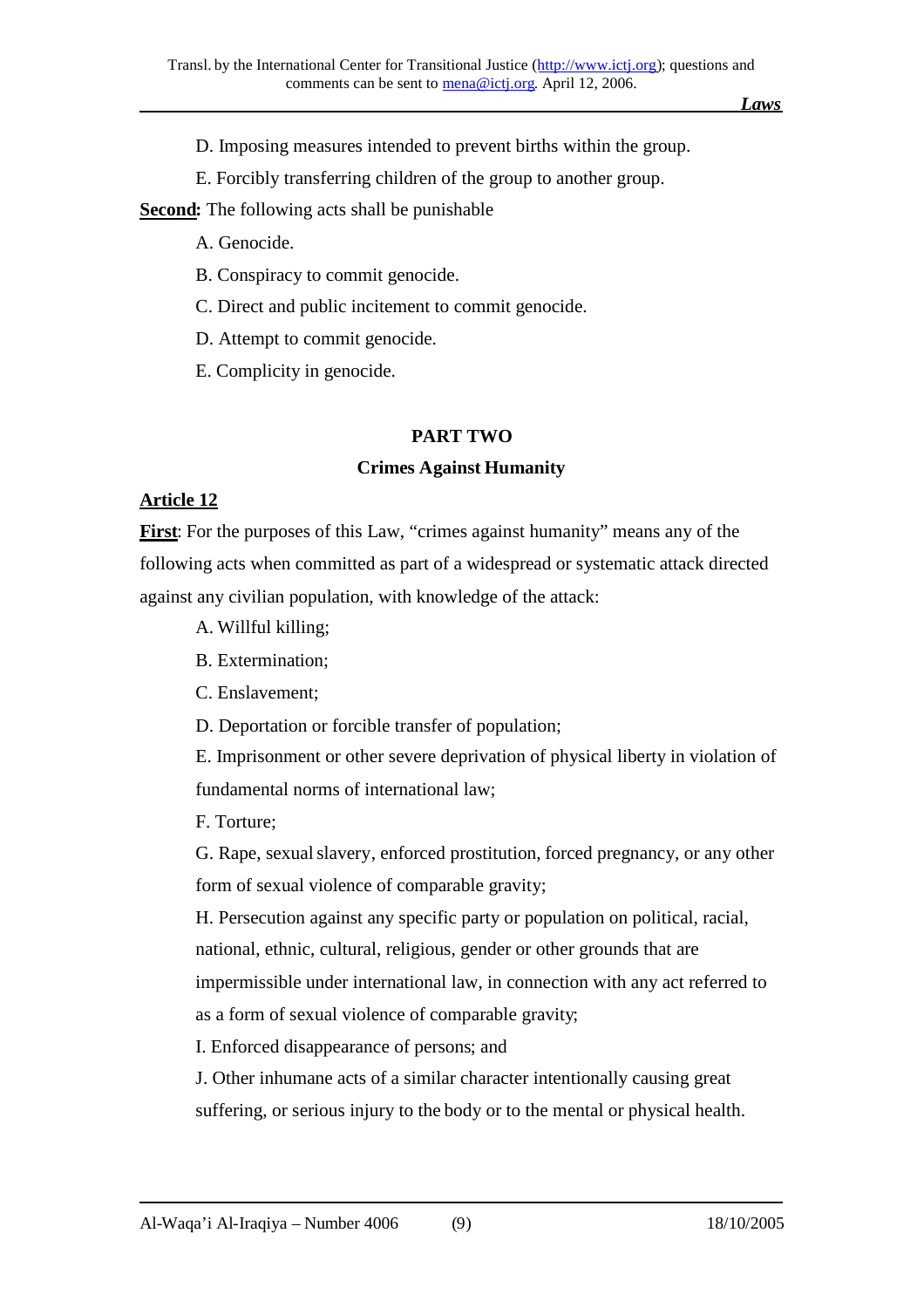D. Imposing measures intended to prevent births within the group.

E. Forcibly transferring children of the group to another group.

**Second:** The following acts shall be punishable

- A. Genocide.
- B. Conspiracy to commit genocide.
- C. Direct and public incitement to commit genocide.
- D. Attempt to commit genocide.
- E. Complicity in genocide.

#### **PART TWO**

#### **Crimes Against Humanity**

#### **Article 12**

**First**: For the purposes of this Law, "crimes against humanity" means any of the following acts when committed as part of a widespread or systematic attack directed against any civilian population, with knowledge of the attack:

- A. Willful killing;
- B. Extermination;
- C. Enslavement;

D. Deportation or forcible transfer of population;

E. Imprisonment or other severe deprivation of physical liberty in violation of fundamental norms of international law;

F. Torture;

G. Rape, sexualslavery, enforced prostitution, forced pregnancy, or any other form of sexual violence of comparable gravity;

H. Persecution against any specific party or population on political, racial, national, ethnic, cultural, religious, gender or other grounds that are impermissible under international law, in connection with any act referred to

as a form of sexual violence of comparable gravity;

I. Enforced disappearance of persons; and

J. Other inhumane acts of a similar character intentionally causing great suffering, or serious injury to the body or to the mental or physical health.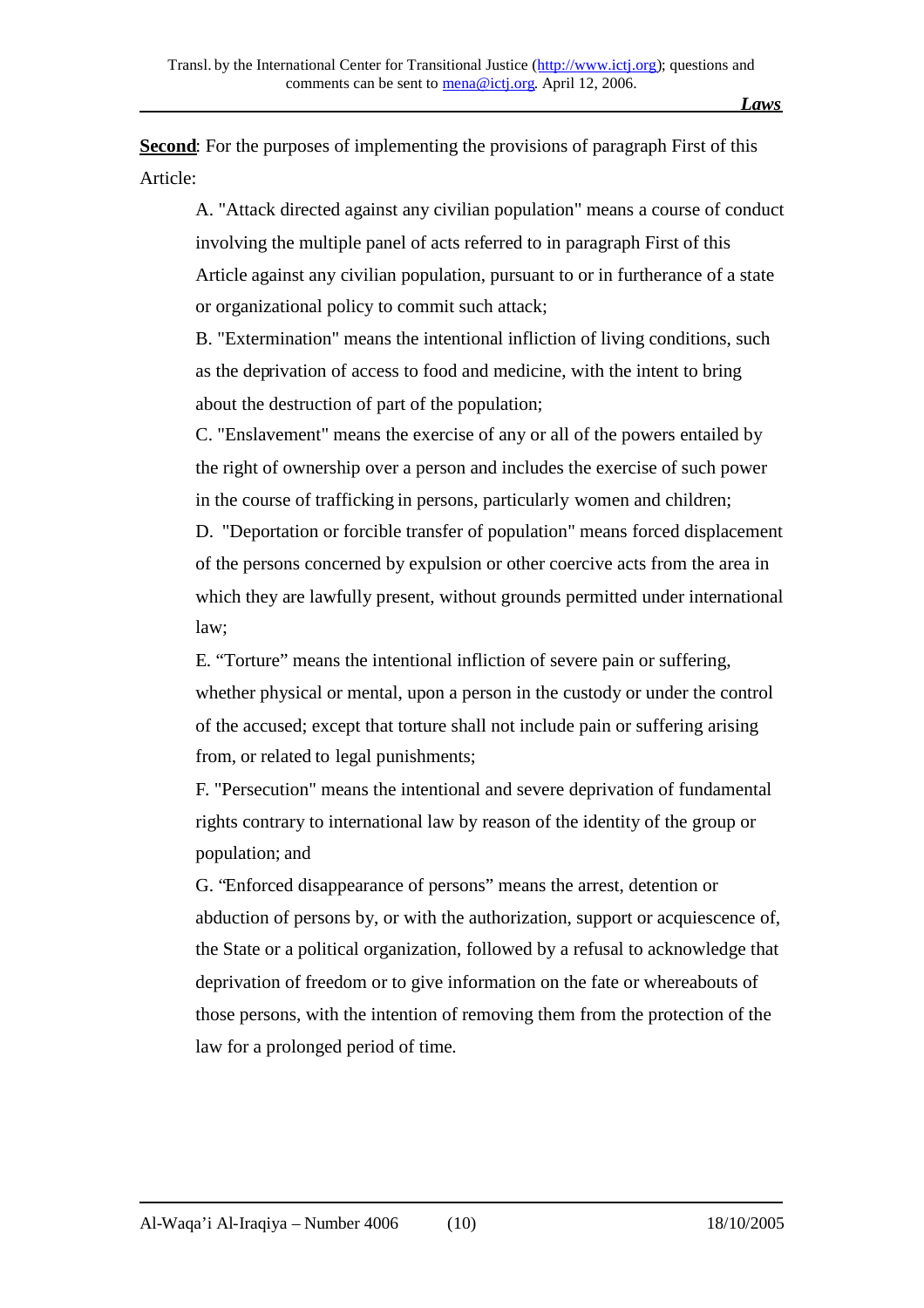**Second:** For the purposes of implementing the provisions of paragraph First of this Article:

A. "Attack directed against any civilian population" means a course of conduct involving the multiple panel of acts referred to in paragraph First of this Article against any civilian population, pursuant to or in furtherance of a state or organizational policy to commit such attack;

B. "Extermination" means the intentional infliction of living conditions, such as the deprivation of access to food and medicine, with the intent to bring about the destruction of part of the population;

C. "Enslavement" means the exercise of any or all of the powers entailed by the right of ownership over a person and includes the exercise of such power in the course of trafficking in persons, particularly women and children;

D. "Deportation or forcible transfer of population" means forced displacement of the persons concerned by expulsion or other coercive acts from the area in which they are lawfully present, without grounds permitted under international law;

E. "Torture" means the intentional infliction of severe pain or suffering, whether physical or mental, upon a person in the custody or under the control of the accused; except that torture shall not include pain or suffering arising from, or related to legal punishments;

F. "Persecution" means the intentional and severe deprivation of fundamental rights contrary to international law by reason of the identity of the group or population; and

G. "Enforced disappearance of persons" means the arrest, detention or abduction of persons by, or with the authorization, support or acquiescence of, the State or a political organization, followed by a refusal to acknowledge that deprivation of freedom or to give information on the fate or whereabouts of those persons, with the intention of removing them from the protection of the law for a prolonged period of time.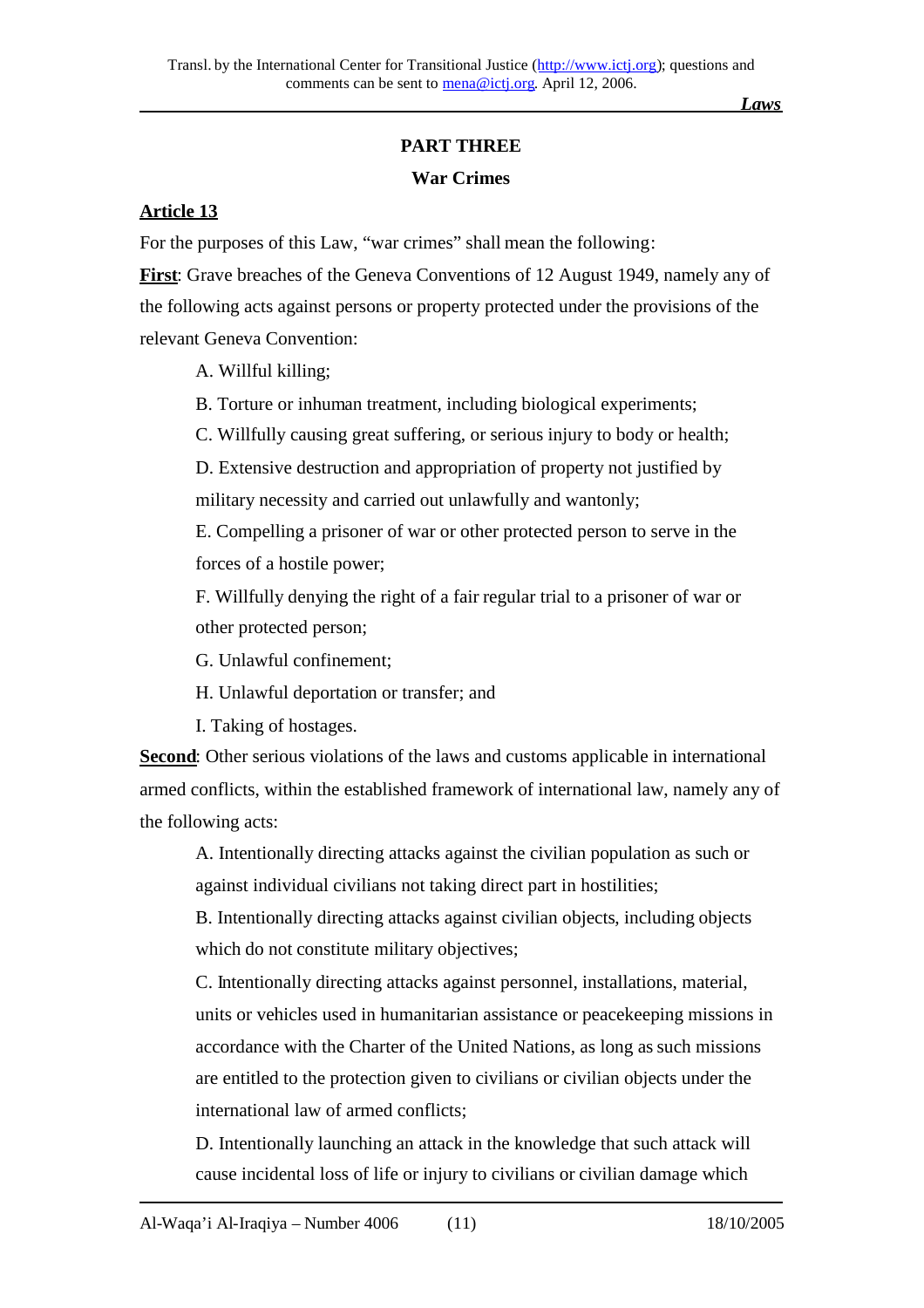# **PART THREE War Crimes**

#### **Article 13**

For the purposes of this Law, "war crimes" shall mean the following:

**First**: Grave breaches of the Geneva Conventions of 12 August 1949, namely any of the following acts against persons or property protected under the provisions of the relevant Geneva Convention:

A. Willful killing;

B. Torture or inhuman treatment, including biological experiments;

C. Willfully causing great suffering, or serious injury to body or health;

D. Extensive destruction and appropriation of property not justified by military necessity and carried out unlawfully and wantonly;

E. Compelling a prisoner of war or other protected person to serve in the forces of a hostile power;

F. Willfully denying the right of a fair regular trial to a prisoner of war or other protected person;

G. Unlawful confinement;

H. Unlawful deportation or transfer; and

I. Taking of hostages.

**Second:** Other serious violations of the laws and customs applicable in international armed conflicts, within the established framework of international law, namely any of the following acts:

A. Intentionally directing attacks against the civilian population as such or against individual civilians not taking direct part in hostilities;

B. Intentionally directing attacks against civilian objects, including objects which do not constitute military objectives;

C. Intentionally directing attacks against personnel, installations, material, units or vehicles used in humanitarian assistance or peacekeeping missions in accordance with the Charter of the United Nations, as long as such missions are entitled to the protection given to civilians or civilian objects under the international law of armed conflicts;

D. Intentionally launching an attack in the knowledge that such attack will cause incidental loss of life or injury to civilians or civilian damage which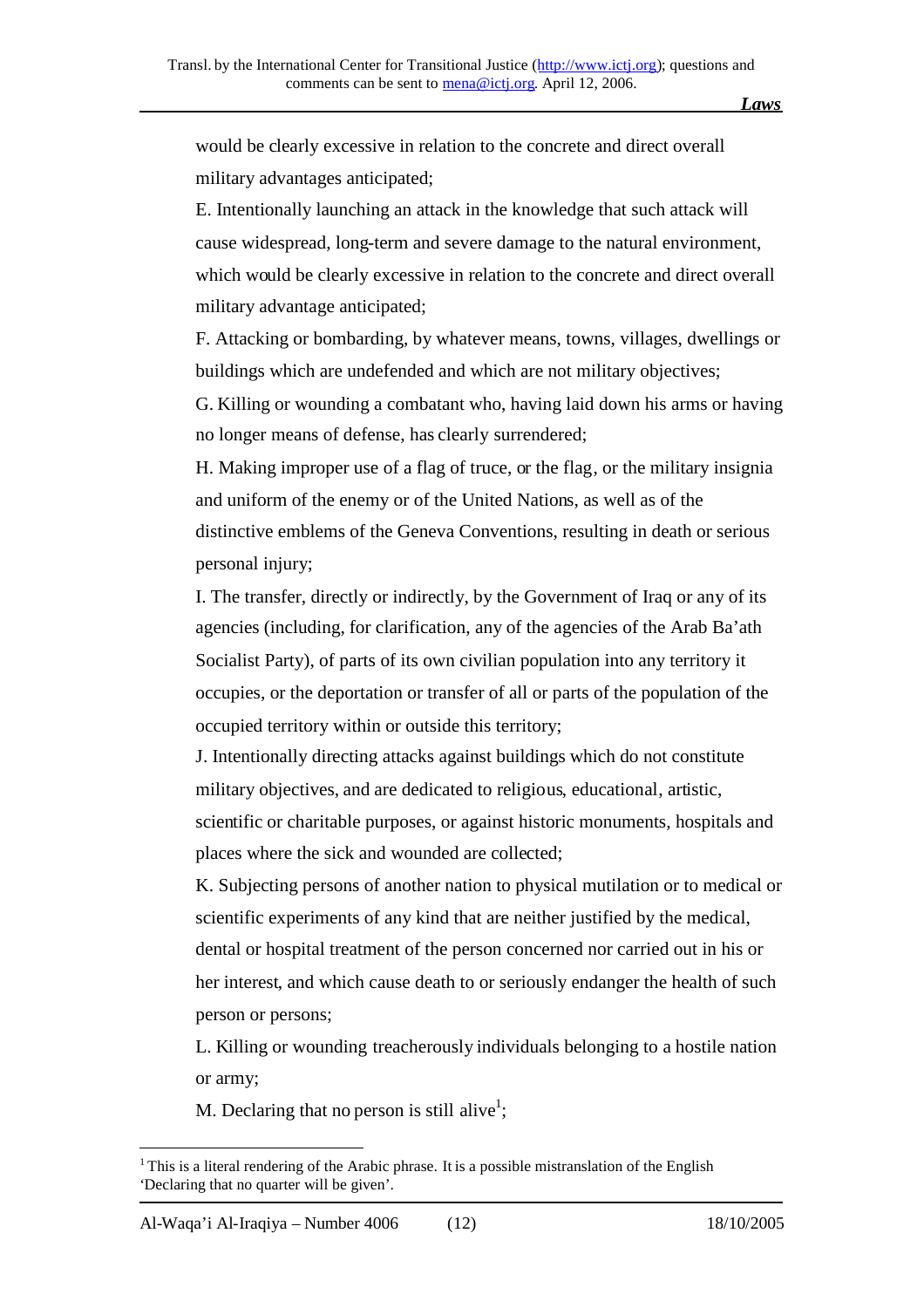would be clearly excessive in relation to the concrete and direct overall military advantages anticipated;

E. Intentionally launching an attack in the knowledge that such attack will cause widespread, long-term and severe damage to the natural environment, which would be clearly excessive in relation to the concrete and direct overall military advantage anticipated;

F. Attacking or bombarding, by whatever means, towns, villages, dwellings or buildings which are undefended and which are not military objectives;

G. Killing or wounding a combatant who, having laid down his arms or having no longer means of defense, has clearly surrendered;

H. Making improper use of a flag of truce, or the flag, or the military insignia and uniform of the enemy or of the United Nations, as well as of the distinctive emblems of the Geneva Conventions, resulting in death or serious personal injury;

I. The transfer, directly or indirectly, by the Government of Iraq or any of its agencies (including, for clarification, any of the agencies of the Arab Ba'ath Socialist Party), of parts of its own civilian population into any territory it occupies, or the deportation or transfer of all or parts of the population of the occupied territory within or outside this territory;

J. Intentionally directing attacks against buildings which do not constitute military objectives, and are dedicated to religious, educational, artistic, scientific or charitable purposes, or against historic monuments, hospitals and places where the sick and wounded are collected;

K. Subjecting persons of another nation to physical mutilation or to medical or scientific experiments of any kind that are neither justified by the medical, dental or hospital treatment of the person concerned nor carried out in his or her interest, and which cause death to or seriously endanger the health of such person or persons;

L. Killing or wounding treacherously individuals belonging to a hostile nation or army;

M. Declaring that no person is still alive<sup>[1](#page-11-0)</sup>;

<span id="page-11-0"></span> $1$ <sup>1</sup> This is a literal rendering of the Arabic phrase. It is a possible mistranslation of the English 'Declaring that no quarter will be given'.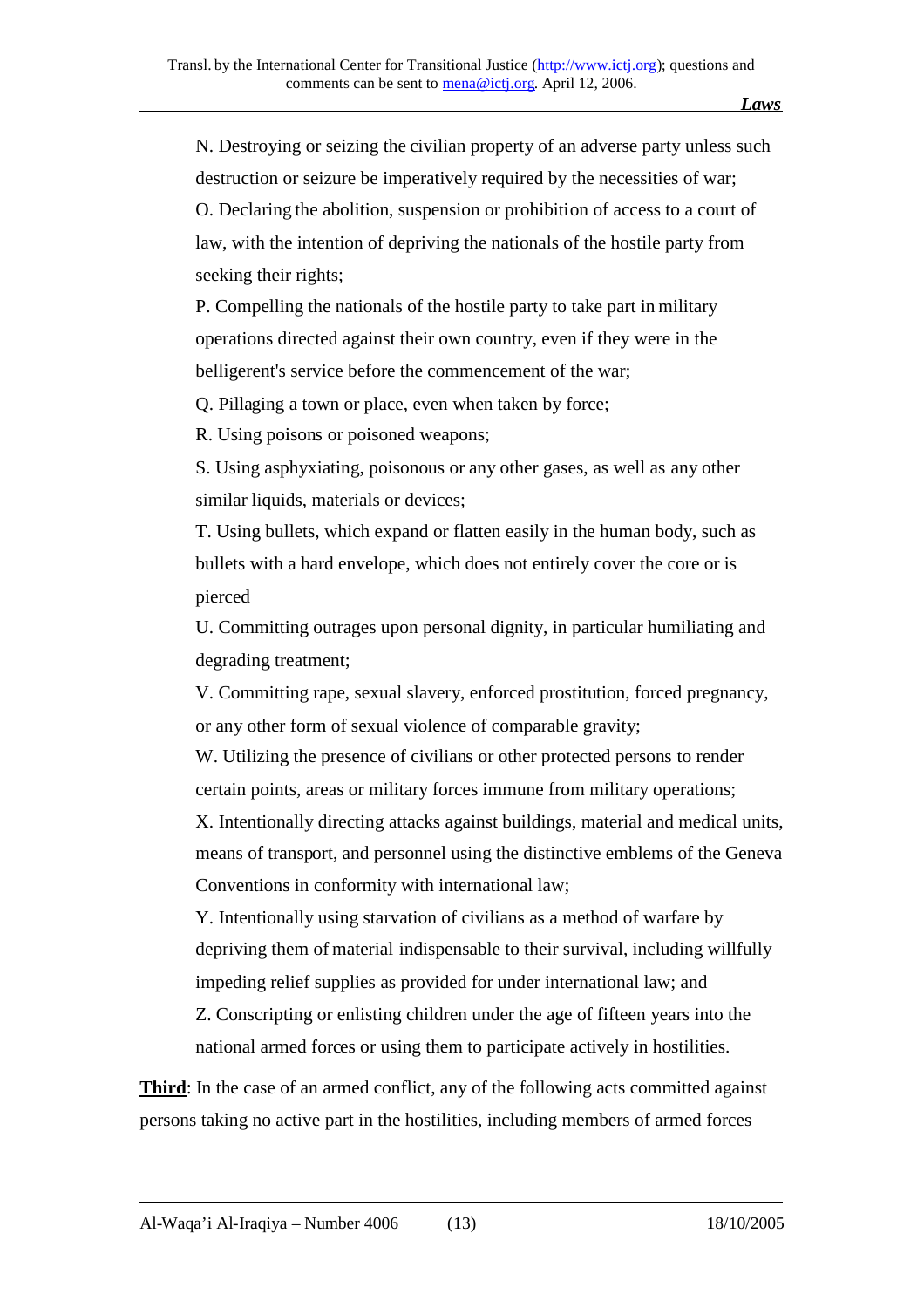N. Destroying or seizing the civilian property of an adverse party unless such destruction or seizure be imperatively required by the necessities of war; O. Declaring the abolition, suspension or prohibition of access to a court of law, with the intention of depriving the nationals of the hostile party from seeking their rights;

P. Compelling the nationals of the hostile party to take part in military operations directed against their own country, even if they were in the belligerent's service before the commencement of the war;

Q. Pillaging a town or place, even when taken by force;

R. Using poisons or poisoned weapons;

S. Using asphyxiating, poisonous or any other gases, as well as any other similar liquids, materials or devices;

T. Using bullets, which expand or flatten easily in the human body, such as bullets with a hard envelope, which does not entirely cover the core or is pierced

U. Committing outrages upon personal dignity, in particular humiliating and degrading treatment;

V. Committing rape, sexual slavery, enforced prostitution, forced pregnancy, or any other form of sexual violence of comparable gravity;

W. Utilizing the presence of civilians or other protected persons to render certain points, areas or military forces immune from military operations;

X. Intentionally directing attacks against buildings, material and medical units, means of transport, and personnel using the distinctive emblems of the Geneva Conventions in conformity with international law;

Y. Intentionally using starvation of civilians as a method of warfare by depriving them of material indispensable to their survival, including willfully impeding relief supplies as provided for under international law; and

Z. Conscripting or enlisting children under the age of fifteen years into the national armed forces or using them to participate actively in hostilities.

**Third**: In the case of an armed conflict, any of the following acts committed against persons taking no active part in the hostilities, including members of armed forces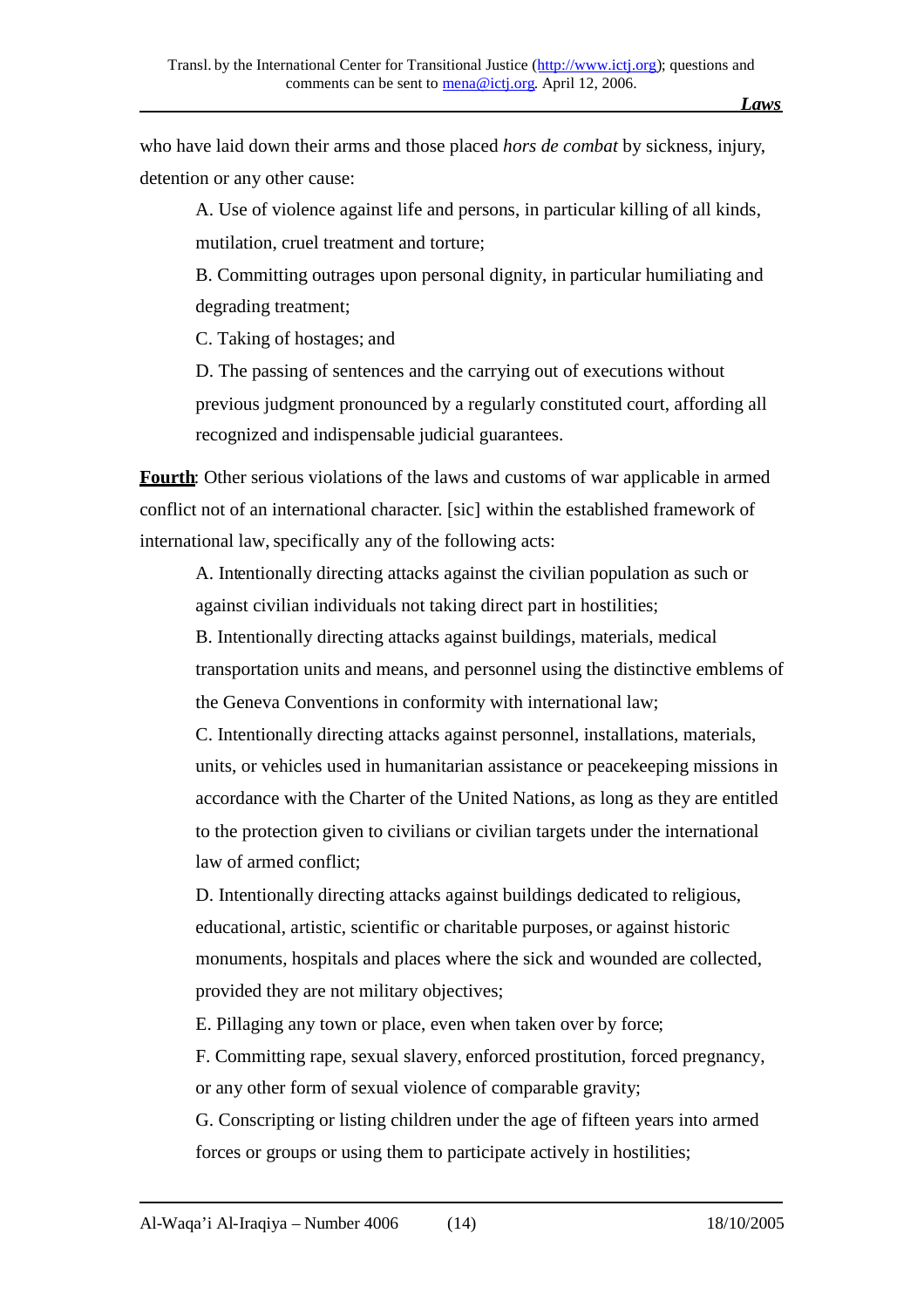who have laid down their arms and those placed *hors de combat* by sickness, injury, detention or any other cause:

A. Use of violence against life and persons, in particular killing of all kinds, mutilation, cruel treatment and torture;

B. Committing outrages upon personal dignity, in particular humiliating and degrading treatment;

C. Taking of hostages; and

D. The passing of sentences and the carrying out of executions without previous judgment pronounced by a regularly constituted court, affording all recognized and indispensable judicial guarantees.

**Fourth**: Other serious violations of the laws and customs of war applicable in armed conflict not of an international character. [sic] within the established framework of international law, specifically any of the following acts:

A. Intentionally directing attacks against the civilian population as such or against civilian individuals not taking direct part in hostilities;

B. Intentionally directing attacks against buildings, materials, medical transportation units and means, and personnel using the distinctive emblems of the Geneva Conventions in conformity with international law;

C. Intentionally directing attacks against personnel, installations, materials, units, or vehicles used in humanitarian assistance or peacekeeping missions in accordance with the Charter of the United Nations, as long as they are entitled to the protection given to civilians or civilian targets under the international law of armed conflict;

D. Intentionally directing attacks against buildings dedicated to religious, educational, artistic, scientific or charitable purposes, or against historic monuments, hospitals and places where the sick and wounded are collected, provided they are not military objectives;

E. Pillaging any town or place, even when taken over by force;

F. Committing rape, sexual slavery, enforced prostitution, forced pregnancy, or any other form of sexual violence of comparable gravity;

G. Conscripting or listing children under the age of fifteen years into armed forces or groups or using them to participate actively in hostilities;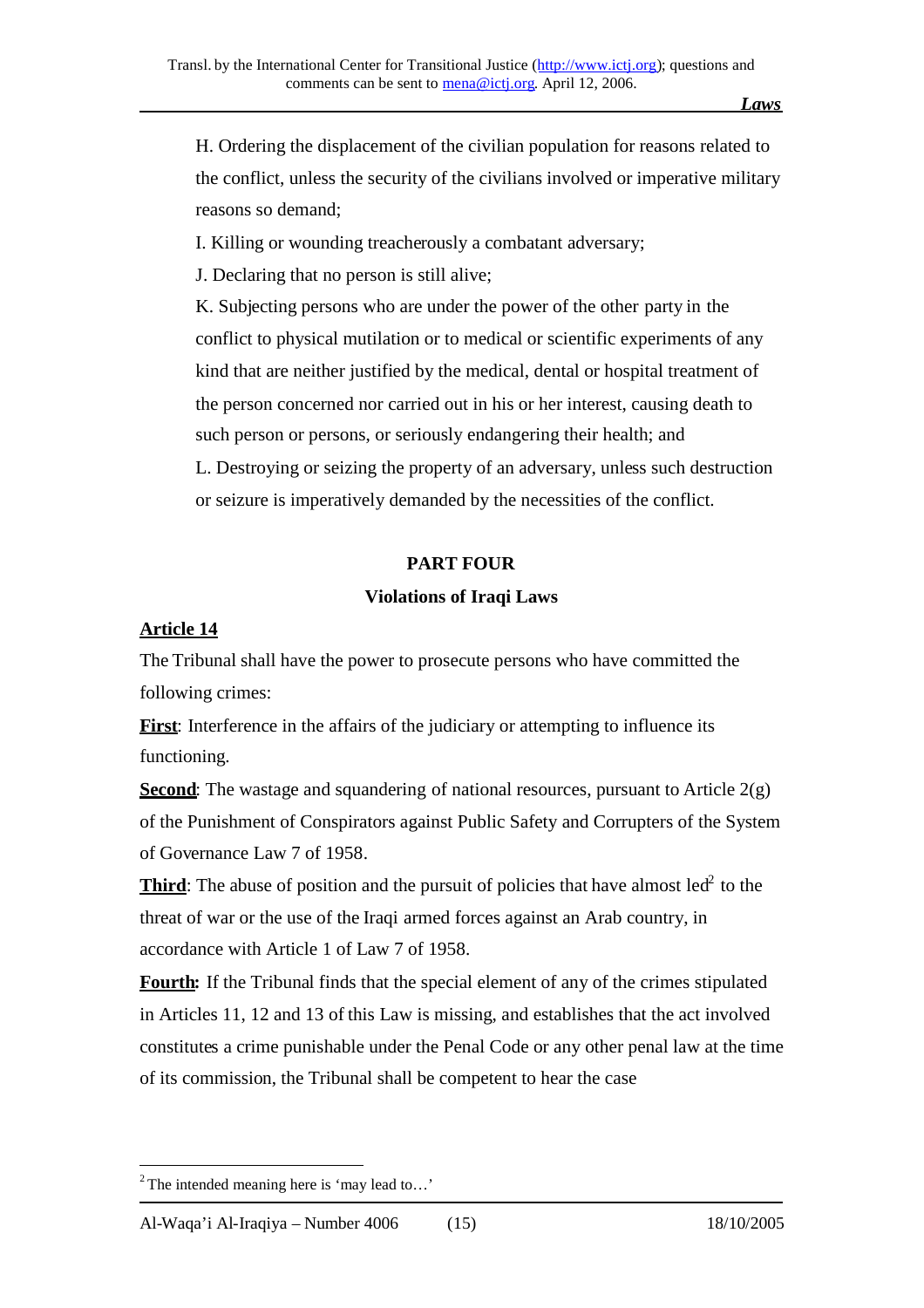H. Ordering the displacement of the civilian population for reasons related to the conflict, unless the security of the civilians involved or imperative military reasons so demand;

I. Killing or wounding treacherously a combatant adversary;

J. Declaring that no person is still alive;

K. Subjecting persons who are under the power of the other party in the conflict to physical mutilation or to medical or scientific experiments of any kind that are neither justified by the medical, dental or hospital treatment of the person concerned nor carried out in his or her interest, causing death to such person or persons, or seriously endangering their health; and

L. Destroying or seizing the property of an adversary, unless such destruction or seizure is imperatively demanded by the necessities of the conflict.

## **PART FOUR**

#### **Violations of Iraqi Laws**

#### **Article 14**

The Tribunal shall have the power to prosecute persons who have committed the following crimes:

**First**: Interference in the affairs of the judiciary or attempting to influence its functioning.

**Second**: The wastage and squandering of national resources, pursuant to Article 2(g) of the Punishment of Conspirators against Public Safety and Corrupters of the System of Governance Law 7 of 1958.

**Third**: The abuse of position and the pursuit of policies that have almost led<sup>[2](#page-14-0)</sup> to the threat of war or the use of the Iraqi armed forces against an Arab country, in accordance with Article 1 of Law 7 of 1958.

**Fourth:** If the Tribunal finds that the special element of any of the crimes stipulated in Articles 11, 12 and 13 of this Law is missing, and establishes that the act involved constitutes a crime punishable under the Penal Code or any other penal law at the time of its commission, the Tribunal shall be competent to hear the case

<span id="page-14-0"></span><sup>&</sup>lt;sup>2</sup> The intended meaning here is 'may lead to...'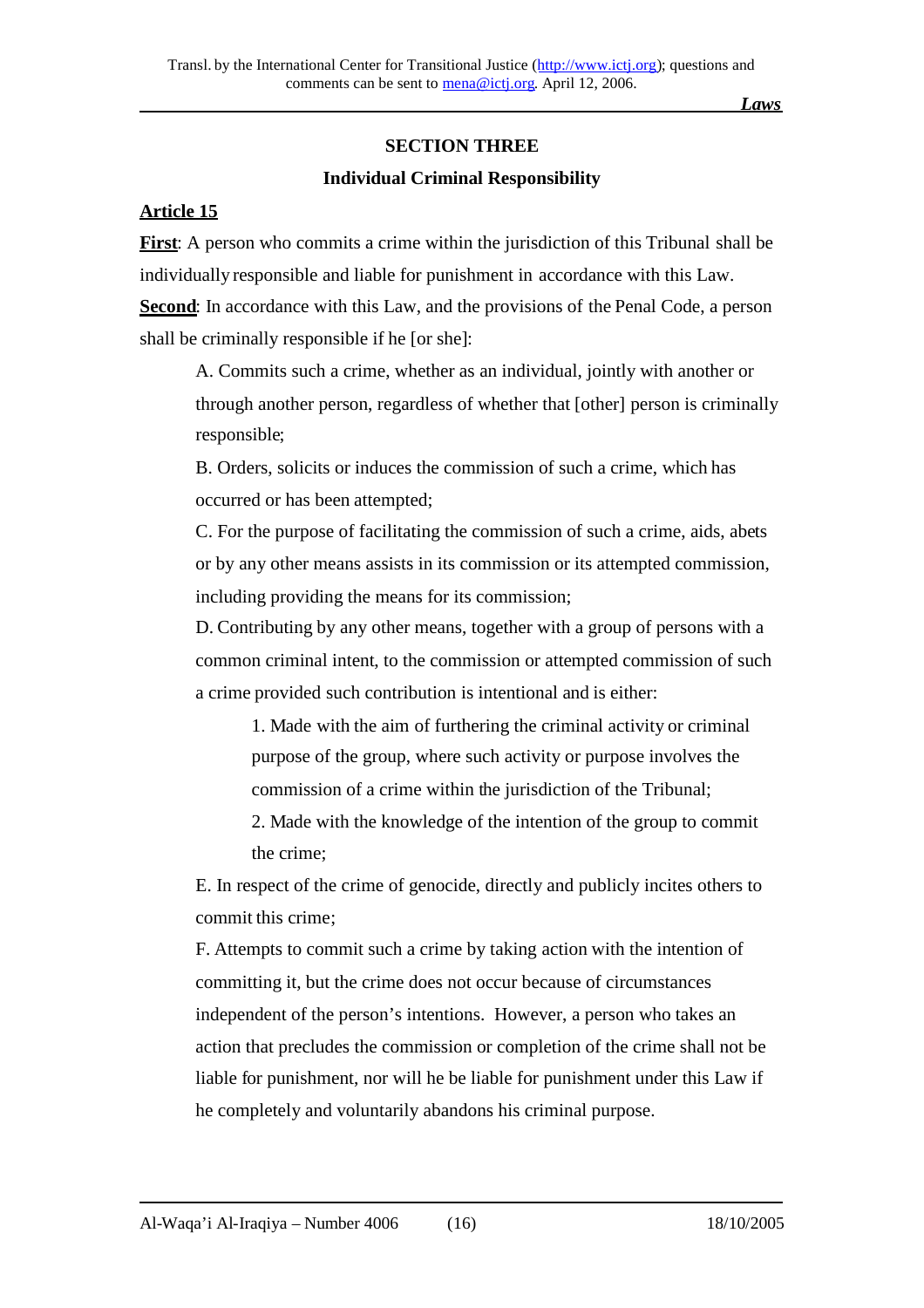# **SECTION THREE**

#### **Individual Criminal Responsibility**

#### **Article 15**

**First**: A person who commits a crime within the jurisdiction of this Tribunal shall be individually responsible and liable for punishment in accordance with this Law. **Second**: In accordance with this Law, and the provisions of the Penal Code, a person shall be criminally responsible if he [or she]:

A. Commits such a crime, whether as an individual, jointly with another or through another person, regardless of whether that [other] person is criminally responsible;

B. Orders, solicits or induces the commission of such a crime, which has occurred or has been attempted;

C. For the purpose of facilitating the commission of such a crime, aids, abets or by any other means assists in its commission or its attempted commission, including providing the means for its commission;

D. Contributing by any other means, together with a group of persons with a common criminal intent, to the commission or attempted commission of such a crime provided such contribution is intentional and is either:

1. Made with the aim of furthering the criminal activity or criminal purpose of the group, where such activity or purpose involves the commission of a crime within the jurisdiction of the Tribunal;

2. Made with the knowledge of the intention of the group to commit the crime;

E. In respect of the crime of genocide, directly and publicly incites others to commit this crime;

F. Attempts to commit such a crime by taking action with the intention of committing it, but the crime does not occur because of circumstances independent of the person's intentions. However, a person who takes an action that precludes the commission or completion of the crime shall not be liable for punishment, nor will he be liable for punishment under this Law if he completely and voluntarily abandons his criminal purpose.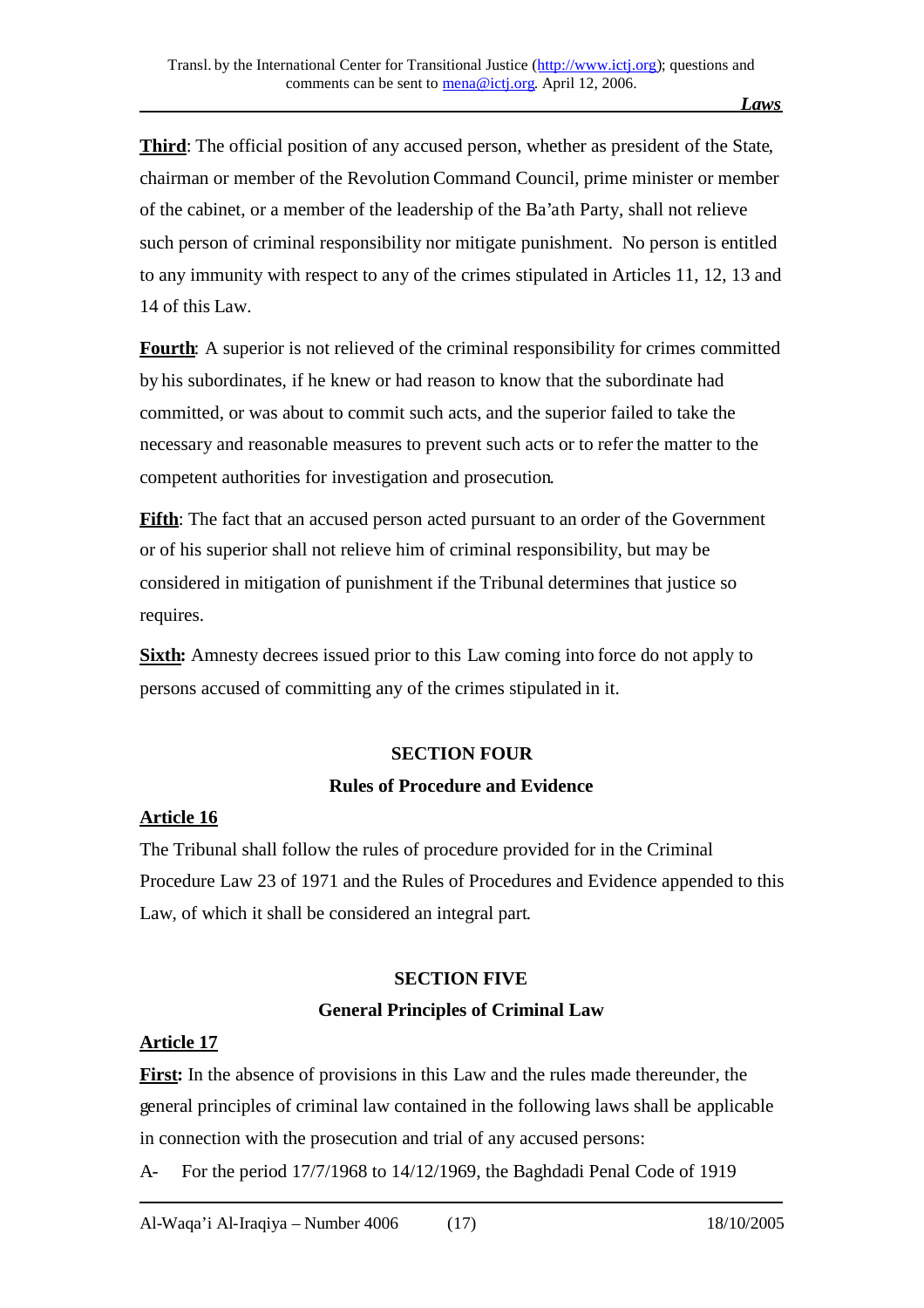**Third**: The official position of any accused person, whether as president of the State, chairman or member of the Revolution Command Council, prime minister or member of the cabinet, or a member of the leadership of the Ba'ath Party, shall not relieve such person of criminal responsibility nor mitigate punishment. No person is entitled to any immunity with respect to any of the crimes stipulated in Articles 11, 12, 13 and 14 of this Law.

**Fourth**: A superior is not relieved of the criminal responsibility for crimes committed by his subordinates, if he knew or had reason to know that the subordinate had committed, or was about to commit such acts, and the superior failed to take the necessary and reasonable measures to prevent such acts or to refer the matter to the competent authorities for investigation and prosecution.

**Fifth**: The fact that an accused person acted pursuant to an order of the Government or of his superior shall not relieve him of criminal responsibility, but may be considered in mitigation of punishment if the Tribunal determines that justice so requires.

**Sixth:** Amnesty decrees issued prior to this Law coming into force do not apply to persons accused of committing any of the crimes stipulated in it.

#### **SECTION FOUR**

#### **Rules of Procedure and Evidence**

#### **Article 16**

The Tribunal shall follow the rules of procedure provided for in the Criminal Procedure Law 23 of 1971 and the Rules of Procedures and Evidence appended to this Law, of which it shall be considered an integral part.

# **SECTION FIVE General Principles of Criminal Law**

#### **Article 17**

**First:** In the absence of provisions in this Law and the rules made thereunder, the general principles of criminal law contained in the following laws shall be applicable in connection with the prosecution and trial of any accused persons:

A- For the period 17/7/1968 to 14/12/1969, the Baghdadi Penal Code of 1919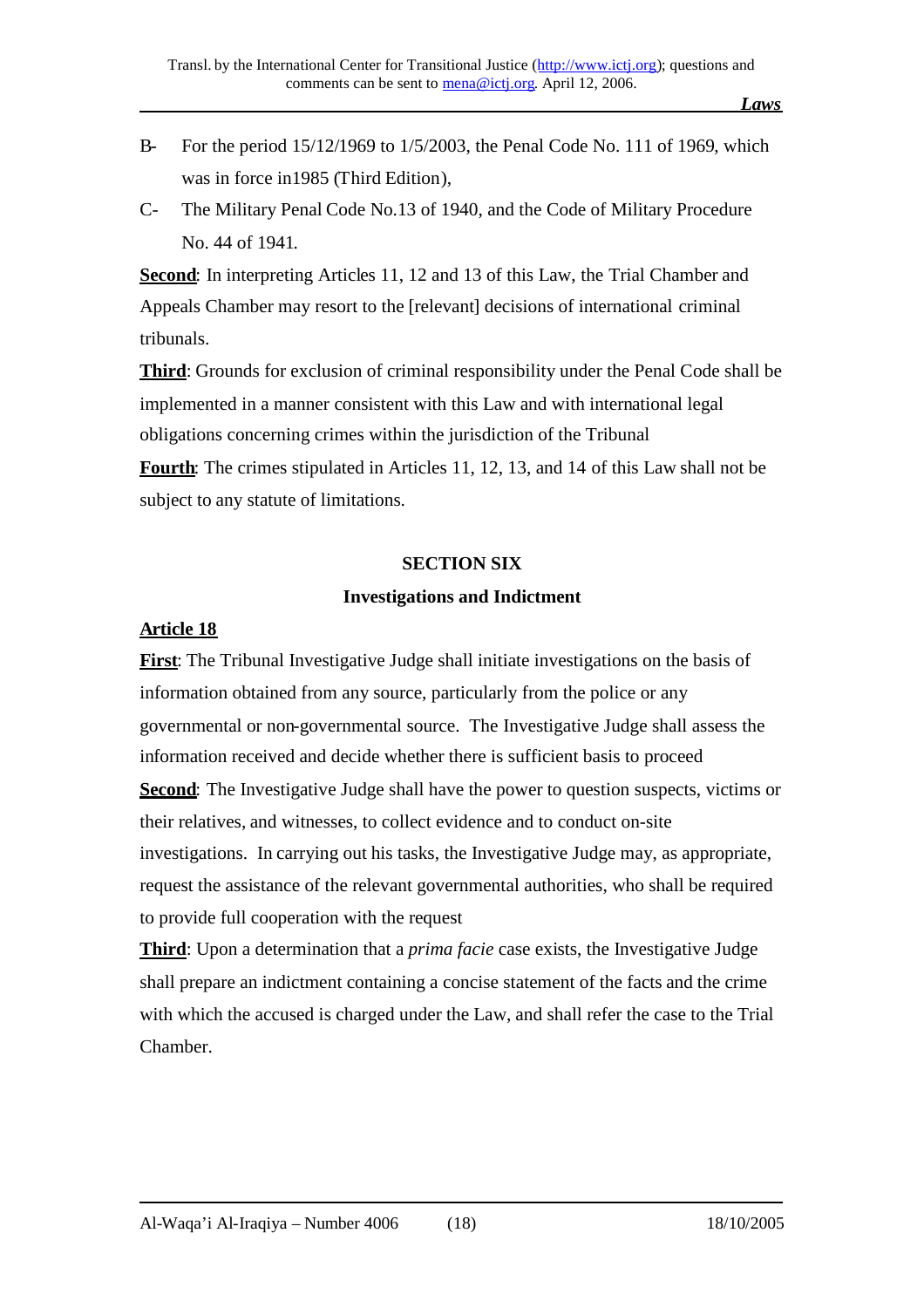- B- For the period 15/12/1969 to 1/5/2003, the Penal Code No. 111 of 1969, which was in force in1985 (Third Edition),
- C- The Military Penal Code No.13 of 1940, and the Code of Military Procedure No. 44 of 1941.

**Second**: In interpreting Articles 11, 12 and 13 of this Law, the Trial Chamber and Appeals Chamber may resort to the [relevant] decisions of international criminal tribunals.

**Third**: Grounds for exclusion of criminal responsibility under the Penal Code shall be implemented in a manner consistent with this Law and with international legal obligations concerning crimes within the jurisdiction of the Tribunal

**Fourth**: The crimes stipulated in Articles 11, 12, 13, and 14 of this Law shall not be subject to any statute of limitations.

#### **SECTION SIX**

#### **Investigations and Indictment**

#### **Article 18**

**First**: The Tribunal Investigative Judge shall initiate investigations on the basis of information obtained from any source, particularly from the police or any governmental or non-governmental source. The Investigative Judge shall assess the information received and decide whether there is sufficient basis to proceed **Second**: The Investigative Judge shall have the power to question suspects, victims or their relatives, and witnesses, to collect evidence and to conduct on-site investigations. In carrying out his tasks, the Investigative Judge may, as appropriate, request the assistance of the relevant governmental authorities, who shall be required to provide full cooperation with the request

**Third**: Upon a determination that a *prima facie* case exists, the Investigative Judge shall prepare an indictment containing a concise statement of the facts and the crime with which the accused is charged under the Law, and shall refer the case to the Trial Chamber.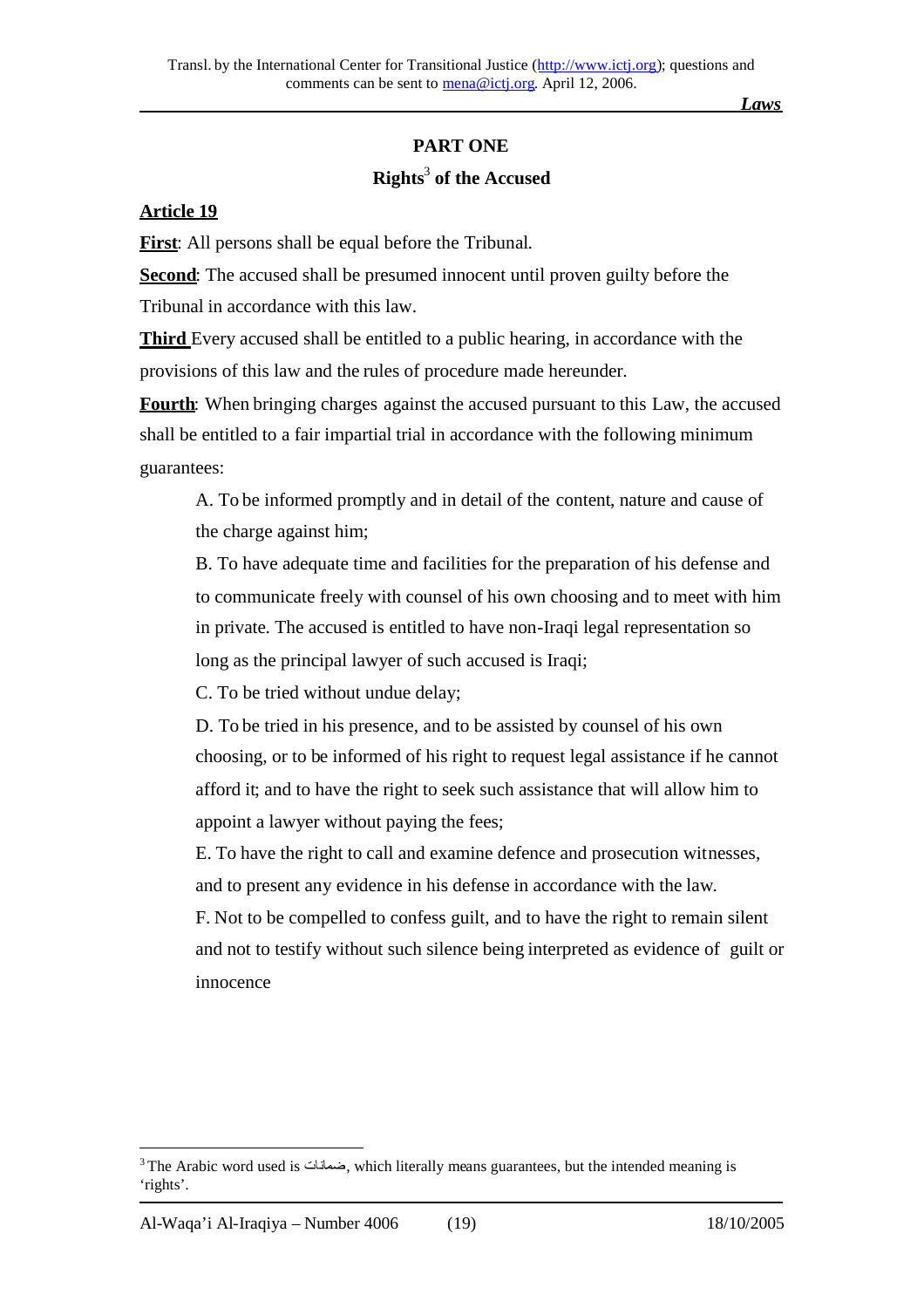# **PART ONE Rights**[3](#page-18-0) **of the Accused**

#### **Article 19**

**First**: All persons shall be equal before the Tribunal.

**Second**: The accused shall be presumed innocent until proven guilty before the Tribunal in accordance with this law.

**Third** Every accused shall be entitled to a public hearing, in accordance with the provisions of this law and the rules of procedure made hereunder.

**Fourth**: When bringing charges against the accused pursuant to this Law, the accused shall be entitled to a fair impartial trial in accordance with the following minimum guarantees:

A. To be informed promptly and in detail of the content, nature and cause of the charge against him;

B. To have adequate time and facilities for the preparation of his defense and to communicate freely with counsel of his own choosing and to meet with him in private. The accused is entitled to have non-Iraqi legal representation so long as the principal lawyer of such accused is Iraqi;

C. To be tried without undue delay;

D. To be tried in his presence, and to be assisted by counsel of his own choosing, or to be informed of his right to request legal assistance if he cannot afford it; and to have the right to seek such assistance that will allow him to appoint a lawyer without paying the fees;

E. To have the right to call and examine defence and prosecution witnesses, and to present any evidence in his defense in accordance with the law.

F. Not to be compelled to confess guilt, and to have the right to remain silent and not to testify without such silence being interpreted as evidence of guilt or innocence

<span id="page-18-0"></span> $3$  The Arabic word used is ضمانات, which literally means guarantees, but the intended meaning is 'rights'.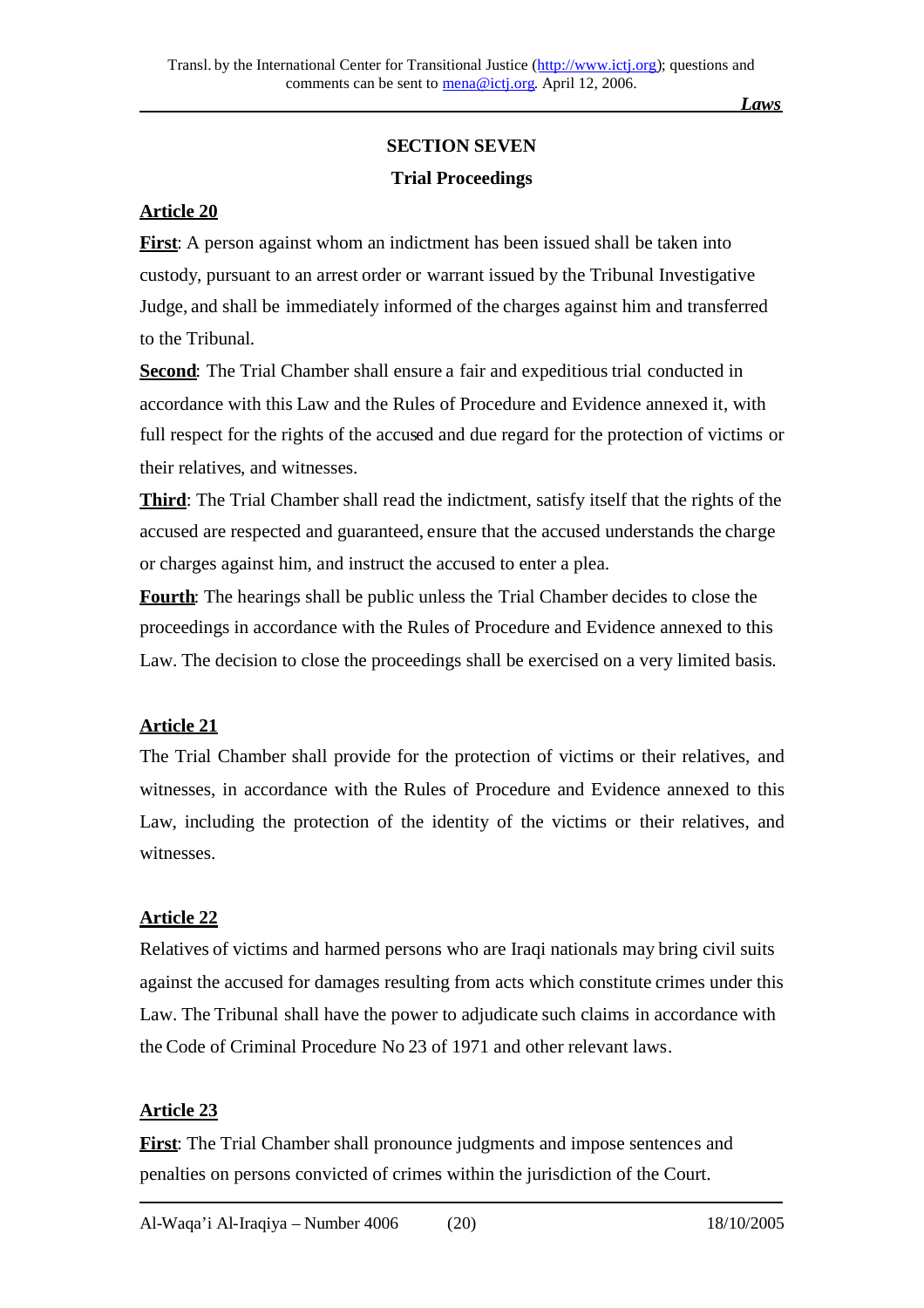#### **SECTION SEVEN**

#### **Trial Proceedings**

#### **Article 20**

**First**: A person against whom an indictment has been issued shall be taken into custody, pursuant to an arrest order or warrant issued by the Tribunal Investigative Judge, and shall be immediately informed of the charges against him and transferred to the Tribunal.

**Second**: The Trial Chamber shall ensure a fair and expeditious trial conducted in accordance with this Law and the Rules of Procedure and Evidence annexed it, with full respect for the rights of the accused and due regard for the protection of victims or their relatives, and witnesses.

**Third**: The Trial Chamber shall read the indictment, satisfy itself that the rights of the accused are respected and guaranteed, ensure that the accused understands the charge or charges against him, and instruct the accused to enter a plea.

**Fourth**: The hearings shall be public unless the Trial Chamber decides to close the proceedings in accordance with the Rules of Procedure and Evidence annexed to this Law. The decision to close the proceedings shall be exercised on a very limited basis.

#### **Article 21**

The Trial Chamber shall provide for the protection of victims or their relatives, and witnesses, in accordance with the Rules of Procedure and Evidence annexed to this Law, including the protection of the identity of the victims or their relatives, and witnesses.

#### **Article 22**

Relatives of victims and harmed persons who are Iraqi nationals may bring civil suits against the accused for damages resulting from acts which constitute crimes under this Law. The Tribunal shall have the power to adjudicate such claims in accordance with the Code of Criminal Procedure No 23 of 1971 and other relevant laws.

#### **Article 23**

**First**: The Trial Chamber shall pronounce judgments and impose sentences and penalties on persons convicted of crimes within the jurisdiction of the Court.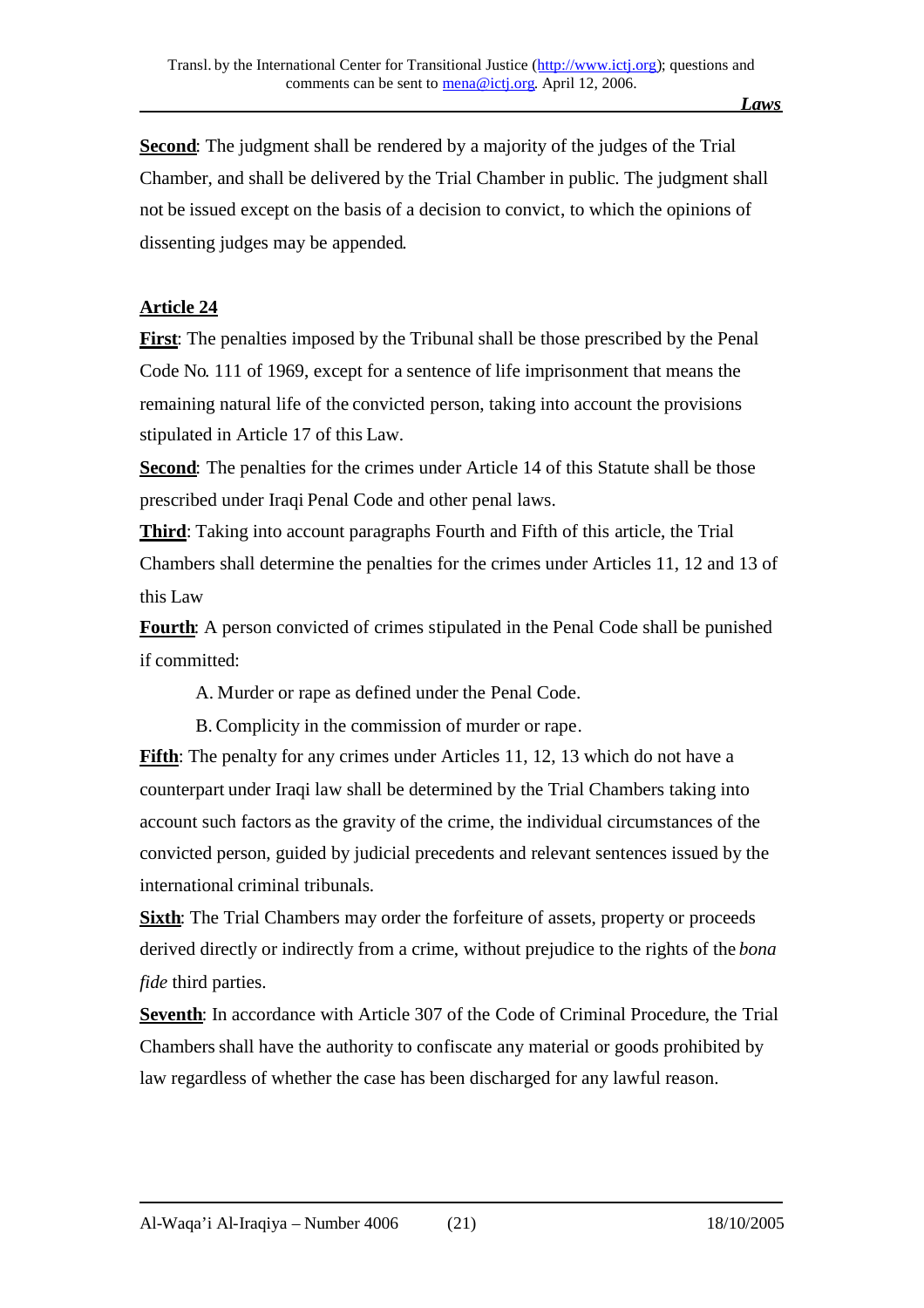**Second:** The judgment shall be rendered by a majority of the judges of the Trial Chamber, and shall be delivered by the Trial Chamber in public. The judgment shall not be issued except on the basis of a decision to convict, to which the opinions of dissenting judges may be appended.

#### **Article 24**

**First**: The penalties imposed by the Tribunal shall be those prescribed by the Penal Code No. 111 of 1969, except for a sentence of life imprisonment that means the remaining natural life of the convicted person, taking into account the provisions stipulated in Article 17 of this Law.

**Second:** The penalties for the crimes under Article 14 of this Statute shall be those prescribed under Iraqi Penal Code and other penal laws.

**Third**: Taking into account paragraphs Fourth and Fifth of this article, the Trial Chambers shall determine the penalties for the crimes under Articles 11, 12 and 13 of this Law

**Fourth**: A person convicted of crimes stipulated in the Penal Code shall be punished if committed:

A. Murder or rape as defined under the Penal Code.

B. Complicity in the commission of murder or rape.

**Fifth**: The penalty for any crimes under Articles 11, 12, 13 which do not have a counterpart under Iraqi law shall be determined by the Trial Chambers taking into account such factors as the gravity of the crime, the individual circumstances of the convicted person, guided by judicial precedents and relevant sentences issued by the international criminal tribunals.

**Sixth:** The Trial Chambers may order the forfeiture of assets, property or proceeds derived directly or indirectly from a crime, without prejudice to the rights of the *bona fide* third parties.

**Seventh**: In accordance with Article 307 of the Code of Criminal Procedure, the Trial Chambers shall have the authority to confiscate any material or goods prohibited by law regardless of whether the case has been discharged for any lawful reason.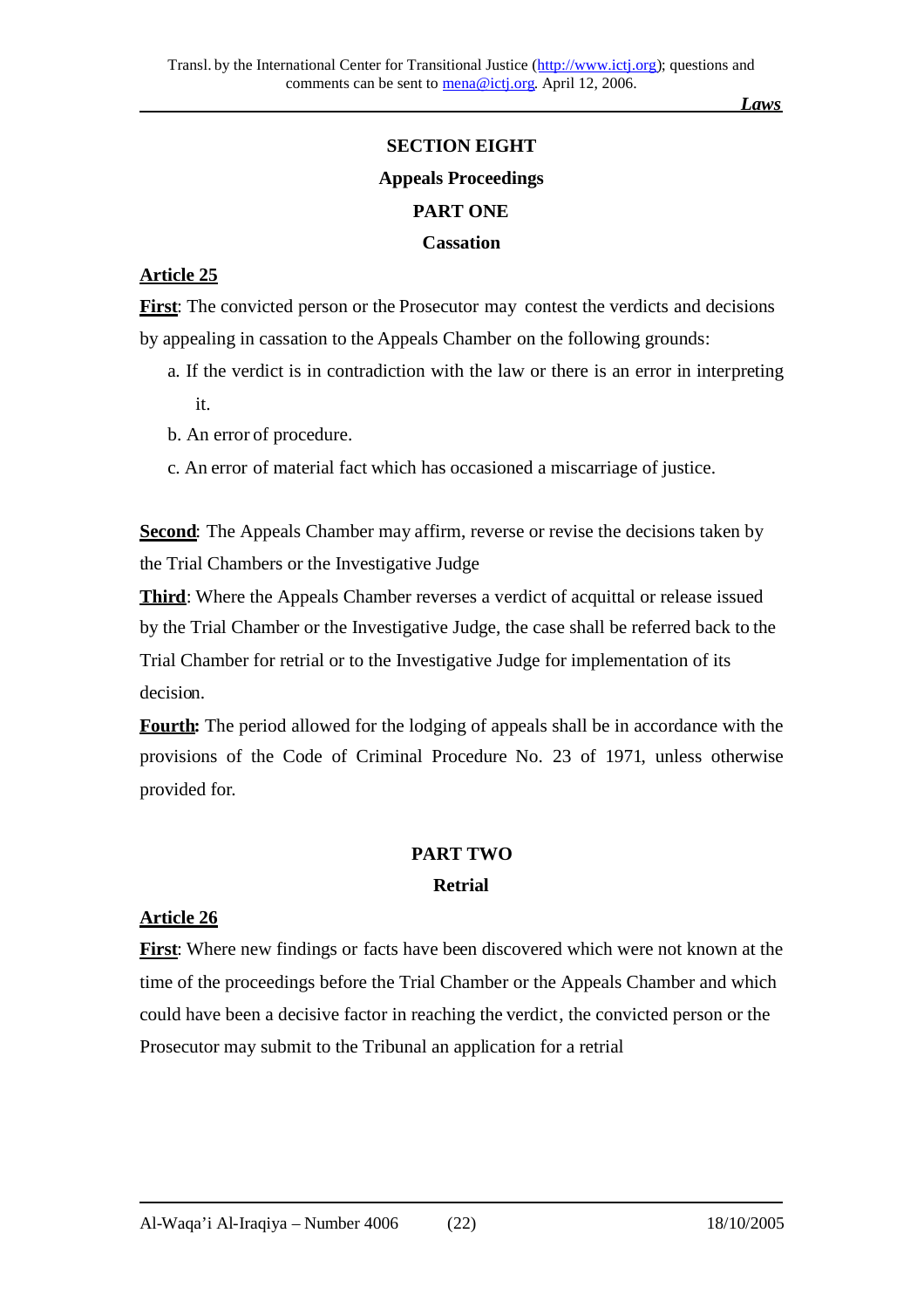# **SECTION EIGHT Appeals Proceedings PART ONE Cassation**

#### **Article 25**

**First**: The convicted person or the Prosecutor may contest the verdicts and decisions by appealing in cassation to the Appeals Chamber on the following grounds:

- a. If the verdict is in contradiction with the law or there is an error in interpreting it.
- b. An error of procedure.
- c. An error of material fact which has occasioned a miscarriage of justice.

**Second**: The Appeals Chamber may affirm, reverse or revise the decisions taken by the Trial Chambers or the Investigative Judge

**Third**: Where the Appeals Chamber reverses a verdict of acquittal or release issued by the Trial Chamber or the Investigative Judge, the case shall be referred back to the Trial Chamber for retrial or to the Investigative Judge for implementation of its decision.

**Fourth:** The period allowed for the lodging of appeals shall be in accordance with the provisions of the Code of Criminal Procedure No. 23 of 1971, unless otherwise provided for.

# **PART TWO**

#### **Retrial**

# **Article 26**

**First**: Where new findings or facts have been discovered which were not known at the time of the proceedings before the Trial Chamber or the Appeals Chamber and which could have been a decisive factor in reaching the verdict, the convicted person or the Prosecutor may submit to the Tribunal an application for a retrial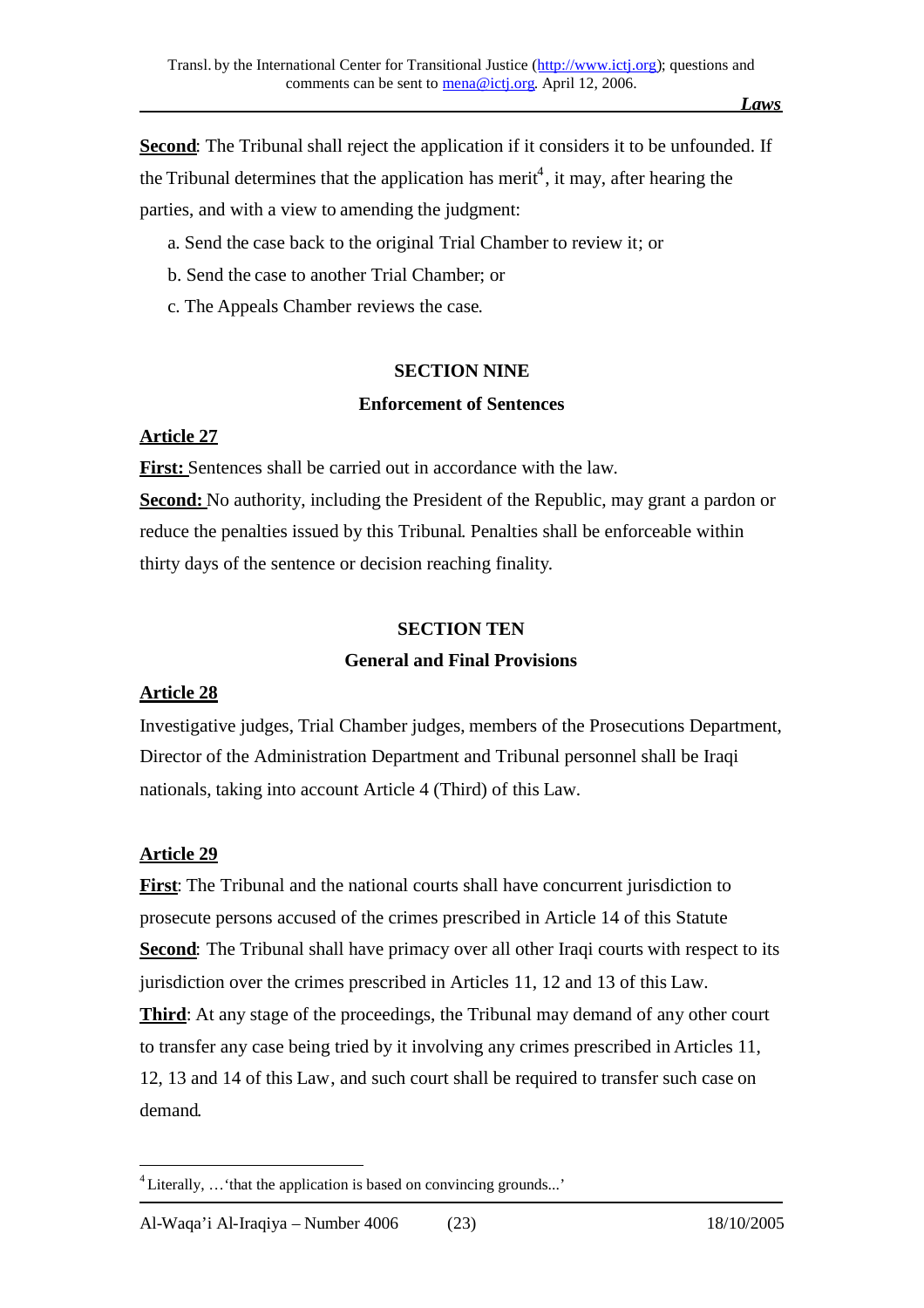**Second:** The Tribunal shall reject the application if it considers it to be unfounded. If theTribunal determines that the application has merit<sup>4</sup>, it may, after hearing the parties, and with a view to amending the judgment:

- a. Send the case back to the original Trial Chamber to review it; or
- b. Send the case to another Trial Chamber; or
- c. The Appeals Chamber reviews the case.

#### **SECTION NINE**

#### **Enforcement of Sentences**

#### **Article 27**

**First:** Sentences shall be carried out in accordance with the law.

**Second:** No authority, including the President of the Republic, may grant a pardon or reduce the penalties issued by this Tribunal. Penalties shall be enforceable within thirty days of the sentence or decision reaching finality.

# **SECTION TEN General and Final Provisions**

#### **Article 28**

Investigative judges, Trial Chamber judges, members of the Prosecutions Department, Director of the Administration Department and Tribunal personnel shall be Iraqi nationals, taking into account Article 4 (Third) of this Law.

#### **Article 29**

**First**: The Tribunal and the national courts shall have concurrent jurisdiction to prosecute persons accused of the crimes prescribed in Article 14 of this Statute **Second**: The Tribunal shall have primacy over all other Iraqi courts with respect to its jurisdiction over the crimes prescribed in Articles 11, 12 and 13 of this Law. **Third**: At any stage of the proceedings, the Tribunal may demand of any other court to transfer any case being tried by it involving any crimes prescribed in Articles 11, 12, 13 and 14 of this Law, and such court shall be required to transfer such case on demand.

<span id="page-22-0"></span> $4$  Literally, ... 'that the application is based on convincing grounds...'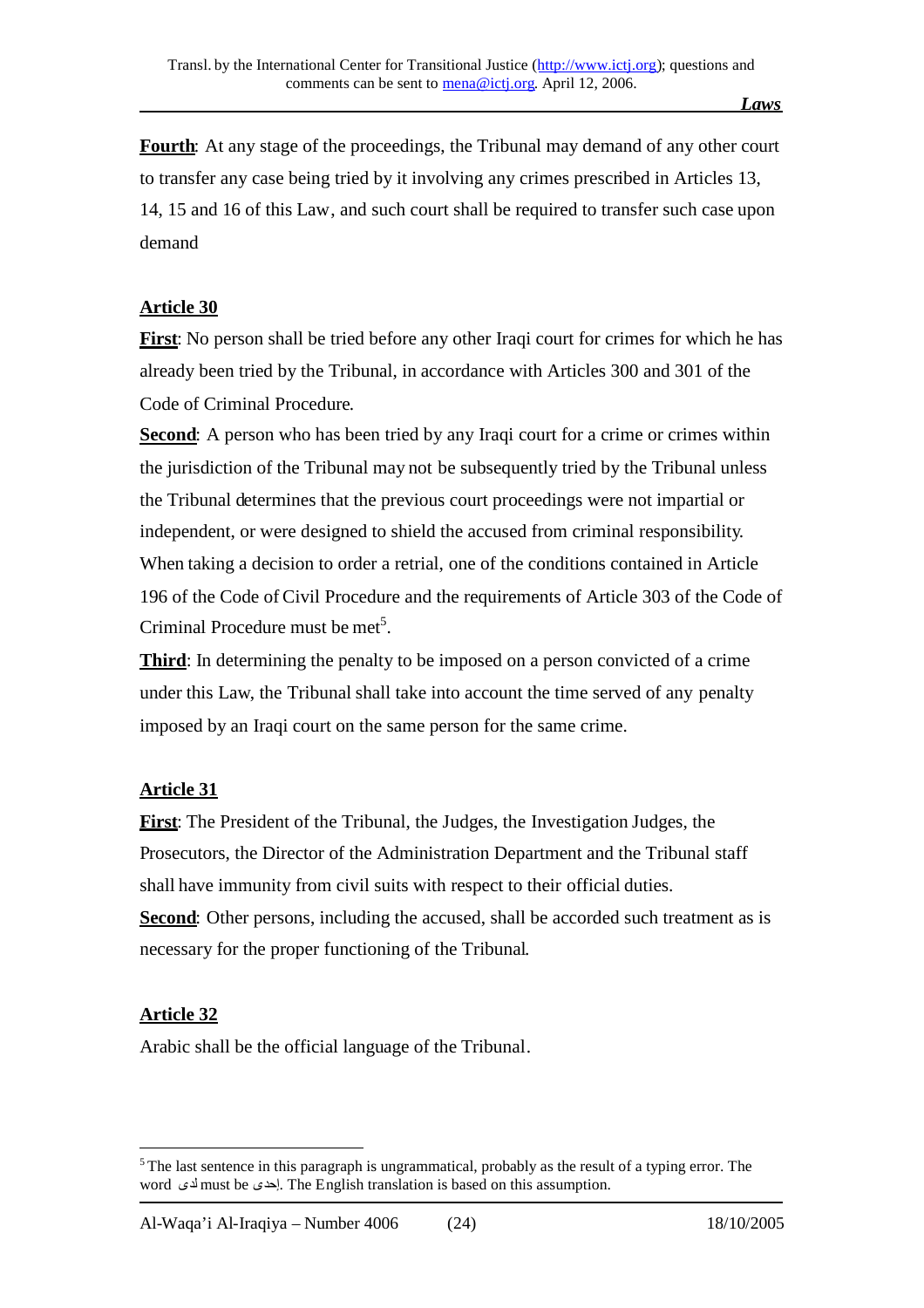**Fourth:** At any stage of the proceedings, the Tribunal may demand of any other court to transfer any case being tried by it involving any crimes prescribed in Articles 13, 14, 15 and 16 of this Law, and such court shall be required to transfer such case upon demand

#### **Article 30**

**First**: No person shall be tried before any other Iraqi court for crimes for which he has already been tried by the Tribunal, in accordance with Articles 300 and 301 of the Code of Criminal Procedure.

**Second**: A person who has been tried by any Iraqi court for a crime or crimes within the jurisdiction of the Tribunal may not be subsequently tried by the Tribunal unless the Tribunal determines that the previous court proceedings were not impartial or independent, or were designed to shield the accused from criminal responsibility. When taking a decision to order a retrial, one of the conditions contained in Article 196 of the Code of Civil Procedure and the requirements of Article 303 of the Code of Criminal Procedure must be met<sup>5</sup>[.](#page-23-0)

**Third**: In determining the penalty to be imposed on a person convicted of a crime under this Law, the Tribunal shall take into account the time served of any penalty imposed by an Iraqi court on the same person for the same crime.

#### **Article 31**

**First**: The President of the Tribunal, the Judges, the Investigation Judges, the Prosecutors, the Director of the Administration Department and the Tribunal staff shall have immunity from civil suits with respect to their official duties. **Second:** Other persons, including the accused, shall be accorded such treatment as is necessary for the proper functioning of the Tribunal.

#### **Article 32**

Arabic shall be the official language of the Tribunal.

<span id="page-23-0"></span> $<sup>5</sup>$ The last sentence in this paragraph is ungrammatical, probably as the result of a typing error. The</sup> word  $\Box$ بحدى. The English translation is based on this assumption.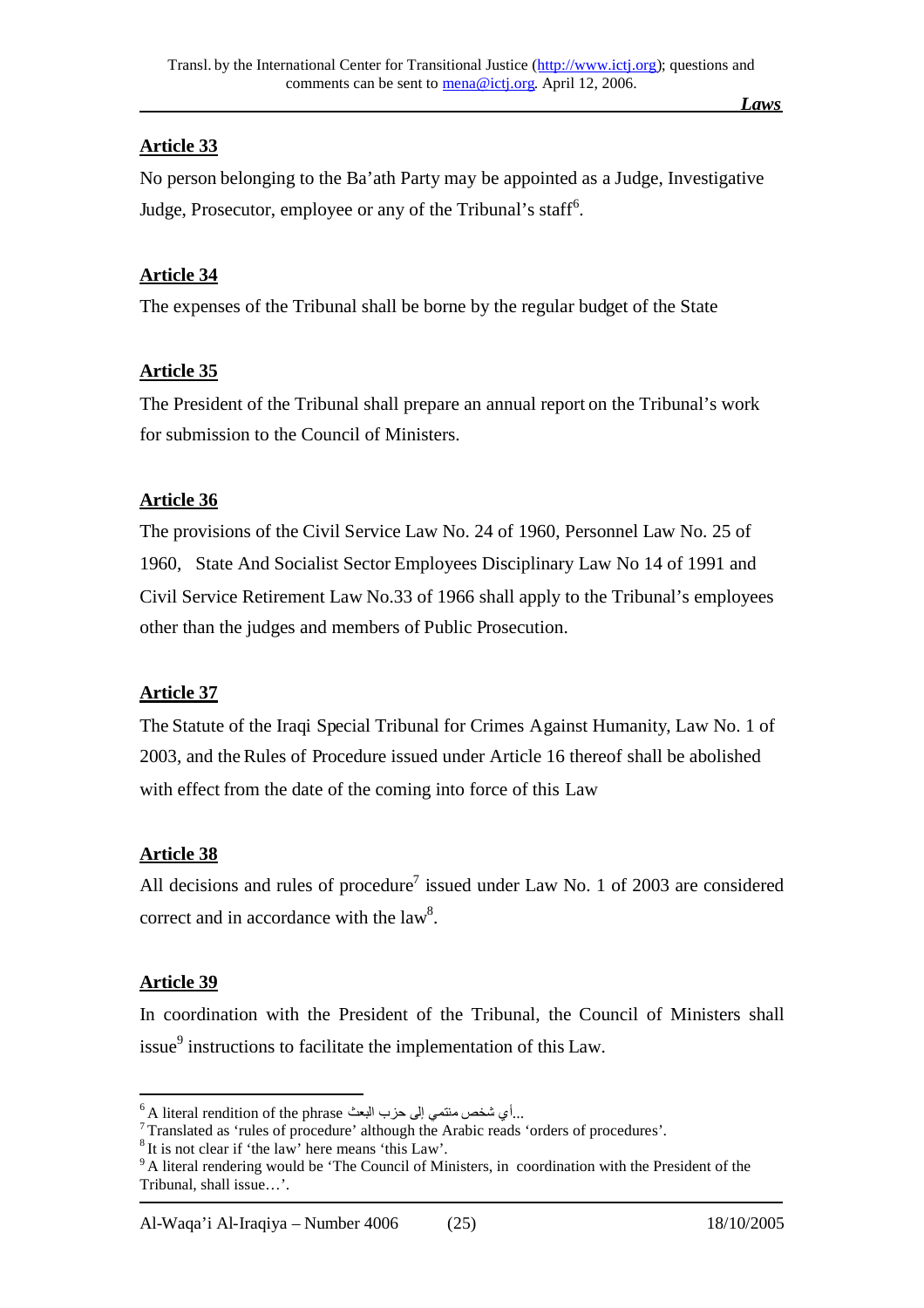#### **Article 33**

No person belonging to the Ba'ath Party may be appointed as a Judge, Investigative Judge,Prosecutor, employee or any of the Tribunal's staff<sup>6</sup>.

#### **Article 34**

The expenses of the Tribunal shall be borne by the regular budget of the State

#### **Article 35**

The President of the Tribunal shall prepare an annual report on the Tribunal's work for submission to the Council of Ministers.

#### **Article 36**

The provisions of the Civil Service Law No. 24 of 1960, Personnel Law No. 25 of 1960, State And Socialist Sector Employees Disciplinary Law No 14 of 1991 and Civil Service Retirement Law No.33 of 1966 shall apply to the Tribunal's employees other than the judges and members of Public Prosecution.

#### **Article 37**

The Statute of the Iraqi Special Tribunal for Crimes Against Humanity, Law No. 1 of 2003, and the Rules of Procedure issued under Article 16 thereof shall be abolished with effect from the date of the coming into force of this Law

#### **Article 38**

All decisions and rules of procedure<sup>[7](#page-24-1)</sup> issued under Law No. 1 of 2003 are considered correctand in accordance [w](#page-24-2)ith the law<sup>8</sup>.

#### **Article 39**

In coordination with the President of the Tribunal, the Council of Ministers shall issue $\delta$  instructions to facilitate the implementation of this Law.

<span id="page-24-1"></span><span id="page-24-0"></span> $^6$  A literal rendition of the phrase أي شخص منتمى إلى حزب البعث...

<sup>7</sup> Translated as 'rules of procedure' although the Arabic reads 'orders of procedures'.

<span id="page-24-3"></span><span id="page-24-2"></span><sup>&</sup>lt;sup>8</sup> It is not clear if 'the law' here means 'this Law'.

<sup>&</sup>lt;sup>9</sup> A literal rendering would be 'The Council of Ministers, in coordination with the President of the Tribunal, shall issue…'.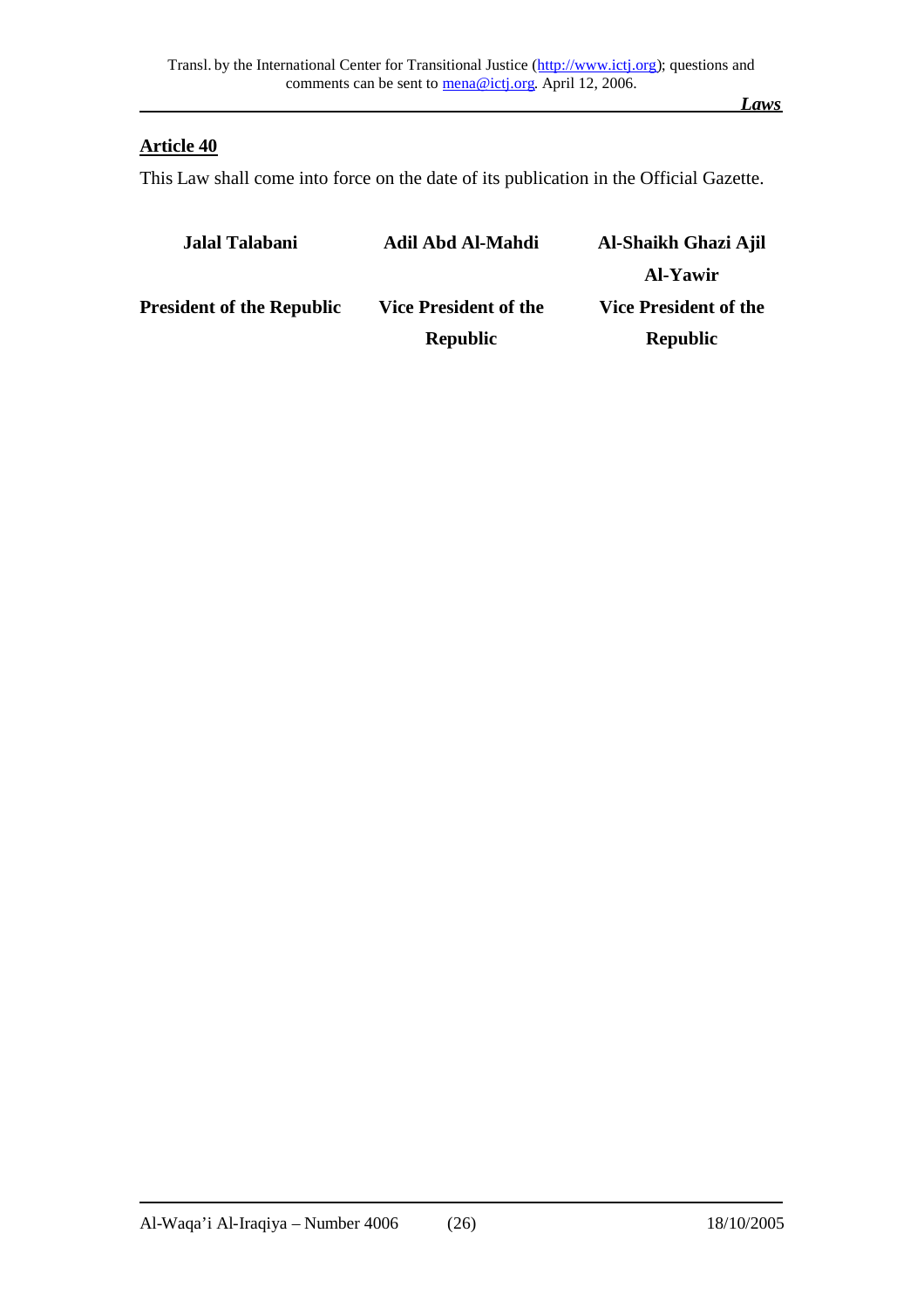# **Article 40**

This Law shall come into force on the date of its publication in the Official Gazette.

| Jalal Talabani                   | Adil Abd Al-Mahdi            | Al-Shaikh Ghazi Ajil         |
|----------------------------------|------------------------------|------------------------------|
|                                  |                              | Al-Yawir                     |
| <b>President of the Republic</b> | <b>Vice President of the</b> | <b>Vice President of the</b> |
|                                  | <b>Republic</b>              | <b>Republic</b>              |